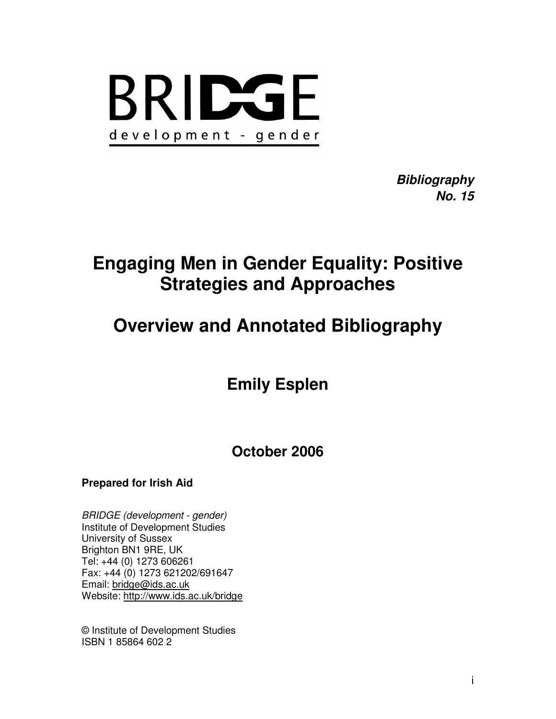

**Bibliography No. 15** 

# **Engaging Men in Gender Equality: Positive Strategies and Approaches**

# **Overview and Annotated Bibliography**

**Emily Esplen** 

**October 2006** 

## **Prepared for Irish Aid**

BRIDGE (development - gender) Institute of Development Studies University of Sussex Brighton BN1 9RE, UK Tel: +44 (0) 1273 606261 Fax: +44 (0) 1273 621202/691647 Email: bridge@ids.ac.uk Website: http://www.ids.ac.uk/bridge

© Institute of Development Studies ISBN 1 85864 602 2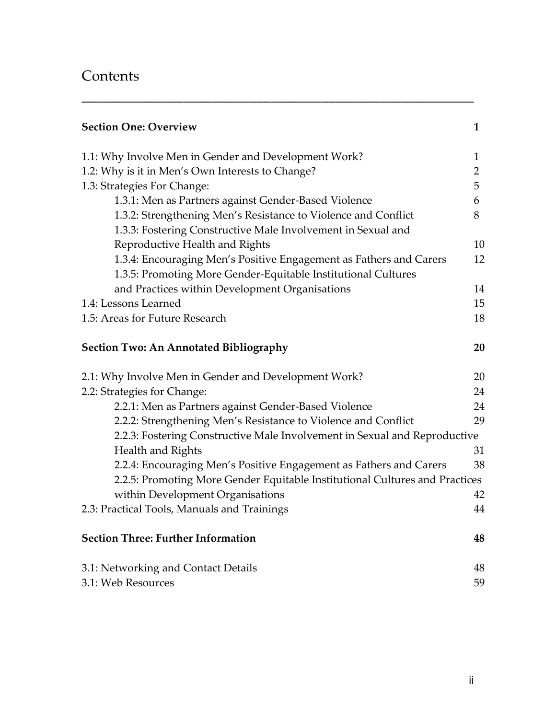## **Contents**

| <b>Section One: Overview</b>                                                                                                        | $\mathbf{1}$   |
|-------------------------------------------------------------------------------------------------------------------------------------|----------------|
| 1.1: Why Involve Men in Gender and Development Work?                                                                                | 1              |
| 1.2: Why is it in Men's Own Interests to Change?                                                                                    | $\overline{2}$ |
| 1.3: Strategies For Change:                                                                                                         | 5              |
| 1.3.1: Men as Partners against Gender-Based Violence                                                                                | 6              |
| 1.3.2: Strengthening Men's Resistance to Violence and Conflict<br>1.3.3: Fostering Constructive Male Involvement in Sexual and      | 8              |
| Reproductive Health and Rights                                                                                                      | 10             |
| 1.3.4: Encouraging Men's Positive Engagement as Fathers and Carers<br>1.3.5: Promoting More Gender-Equitable Institutional Cultures | 12             |
| and Practices within Development Organisations                                                                                      | 14             |
| 1.4: Lessons Learned                                                                                                                | 15             |
| 1.5: Areas for Future Research                                                                                                      | 18             |
| <b>Section Two: An Annotated Bibliography</b>                                                                                       | 20             |
| 2.1: Why Involve Men in Gender and Development Work?                                                                                | 20             |
| 2.2: Strategies for Change:                                                                                                         | 24             |
| 2.2.1: Men as Partners against Gender-Based Violence                                                                                | 24             |
| 2.2.2: Strengthening Men's Resistance to Violence and Conflict                                                                      | 29             |
| 2.2.3: Fostering Constructive Male Involvement in Sexual and Reproductive                                                           |                |
| Health and Rights                                                                                                                   | 31             |
| 2.2.4: Encouraging Men's Positive Engagement as Fathers and Carers                                                                  | 38             |
| 2.2.5: Promoting More Gender Equitable Institutional Cultures and Practices                                                         |                |
| within Development Organisations                                                                                                    | 42             |
| 2.3: Practical Tools, Manuals and Trainings                                                                                         | 44             |
| <b>Section Three: Further Information</b>                                                                                           | 48             |
| 3.1: Networking and Contact Details                                                                                                 | 48             |
| 3.1: Web Resources                                                                                                                  | 59             |

\_\_\_\_\_\_\_\_\_\_\_\_\_\_\_\_\_\_\_\_\_\_\_\_\_\_\_\_\_\_\_\_\_\_\_\_\_\_\_\_\_\_\_\_\_\_\_\_\_\_\_\_\_\_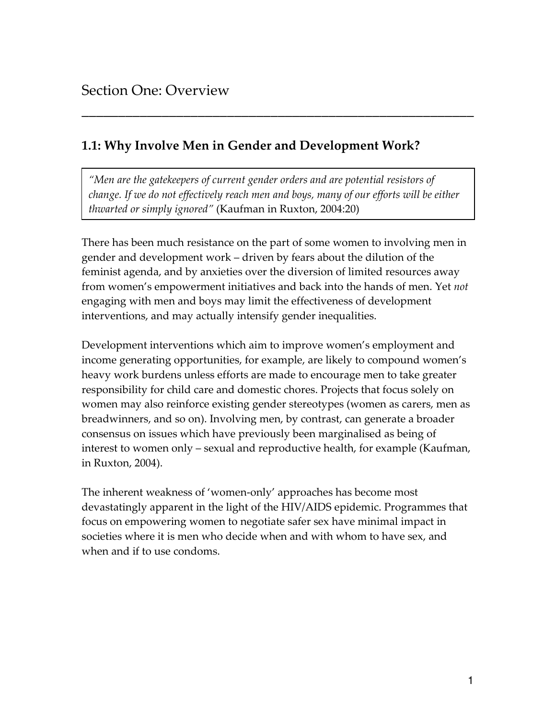## 1.1: Why Involve Men in Gender and Development Work?

"Men are the gatekeepers of current gender orders and are potential resistors of change. If we do not effectively reach men and boys, many of our efforts will be either thwarted or simply ignored" (Kaufman in Ruxton, 2004:20)

\_\_\_\_\_\_\_\_\_\_\_\_\_\_\_\_\_\_\_\_\_\_\_\_\_\_\_\_\_\_\_\_\_\_\_\_\_\_\_\_\_\_\_\_\_\_\_\_\_\_\_\_\_\_

There has been much resistance on the part of some women to involving men in gender and development work – driven by fears about the dilution of the feminist agenda, and by anxieties over the diversion of limited resources away from women's empowerment initiatives and back into the hands of men. Yet not engaging with men and boys may limit the effectiveness of development interventions, and may actually intensify gender inequalities.

Development interventions which aim to improve women's employment and income generating opportunities, for example, are likely to compound women's heavy work burdens unless efforts are made to encourage men to take greater responsibility for child care and domestic chores. Projects that focus solely on women may also reinforce existing gender stereotypes (women as carers, men as breadwinners, and so on). Involving men, by contrast, can generate a broader consensus on issues which have previously been marginalised as being of interest to women only – sexual and reproductive health, for example (Kaufman, in Ruxton, 2004).

The inherent weakness of 'women-only' approaches has become most devastatingly apparent in the light of the HIV/AIDS epidemic. Programmes that focus on empowering women to negotiate safer sex have minimal impact in societies where it is men who decide when and with whom to have sex, and when and if to use condoms.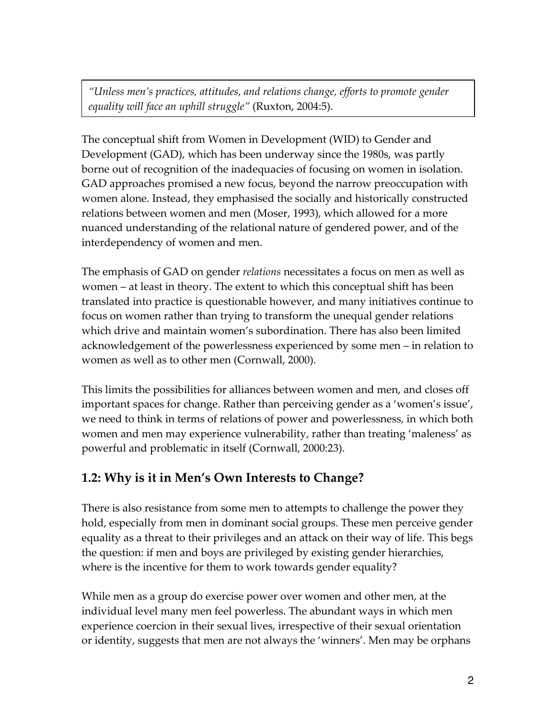"Unless men's practices, attitudes, and relations change, efforts to promote gender equality will face an uphill struggle" (Ruxton, 2004:5).

The conceptual shift from Women in Development (WID) to Gender and Development (GAD), which has been underway since the 1980s, was partly borne out of recognition of the inadequacies of focusing on women in isolation. GAD approaches promised a new focus, beyond the narrow preoccupation with women alone. Instead, they emphasised the socially and historically constructed relations between women and men (Moser, 1993), which allowed for a more nuanced understanding of the relational nature of gendered power, and of the interdependency of women and men.

The emphasis of GAD on gender *relations* necessitates a focus on men as well as women – at least in theory. The extent to which this conceptual shift has been translated into practice is questionable however, and many initiatives continue to focus on women rather than trying to transform the unequal gender relations which drive and maintain women's subordination. There has also been limited acknowledgement of the powerlessness experienced by some men – in relation to women as well as to other men (Cornwall, 2000).

This limits the possibilities for alliances between women and men, and closes off important spaces for change. Rather than perceiving gender as a 'women's issue', we need to think in terms of relations of power and powerlessness, in which both women and men may experience vulnerability, rather than treating 'maleness' as powerful and problematic in itself (Cornwall, 2000:23).

## 1.2: Why is it in Men's Own Interests to Change?

There is also resistance from some men to attempts to challenge the power they hold, especially from men in dominant social groups. These men perceive gender equality as a threat to their privileges and an attack on their way of life. This begs the question: if men and boys are privileged by existing gender hierarchies, where is the incentive for them to work towards gender equality?

While men as a group do exercise power over women and other men, at the individual level many men feel powerless. The abundant ways in which men experience coercion in their sexual lives, irrespective of their sexual orientation or identity, suggests that men are not always the 'winners'. Men may be orphans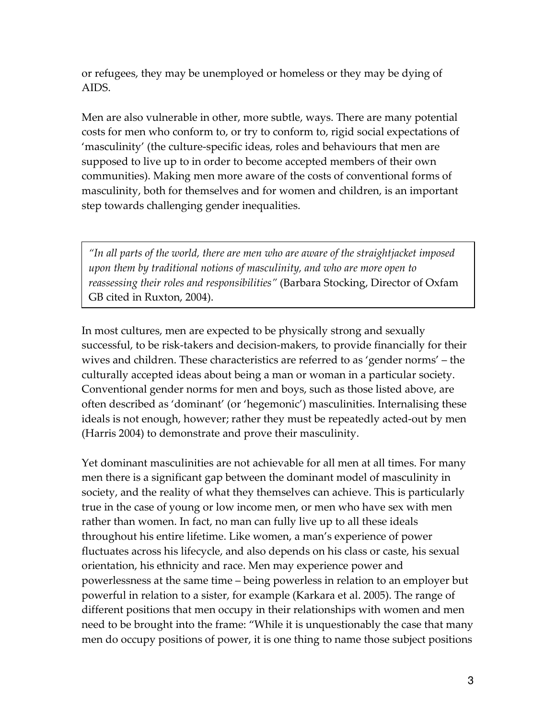or refugees, they may be unemployed or homeless or they may be dying of AIDS.

Men are also vulnerable in other, more subtle, ways. There are many potential costs for men who conform to, or try to conform to, rigid social expectations of 'masculinity' (the culture-specific ideas, roles and behaviours that men are supposed to live up to in order to become accepted members of their own communities). Making men more aware of the costs of conventional forms of masculinity, both for themselves and for women and children, is an important step towards challenging gender inequalities.

"In all parts of the world, there are men who are aware of the straightjacket imposed upon them by traditional notions of masculinity, and who are more open to reassessing their roles and responsibilities" (Barbara Stocking, Director of Oxfam GB cited in Ruxton, 2004).

In most cultures, men are expected to be physically strong and sexually successful, to be risk-takers and decision-makers, to provide financially for their wives and children. These characteristics are referred to as 'gender norms' – the culturally accepted ideas about being a man or woman in a particular society. Conventional gender norms for men and boys, such as those listed above, are often described as 'dominant' (or 'hegemonic') masculinities. Internalising these ideals is not enough, however; rather they must be repeatedly acted-out by men (Harris 2004) to demonstrate and prove their masculinity.

Yet dominant masculinities are not achievable for all men at all times. For many men there is a significant gap between the dominant model of masculinity in society, and the reality of what they themselves can achieve. This is particularly true in the case of young or low income men, or men who have sex with men rather than women. In fact, no man can fully live up to all these ideals throughout his entire lifetime. Like women, a man's experience of power fluctuates across his lifecycle, and also depends on his class or caste, his sexual orientation, his ethnicity and race. Men may experience power and powerlessness at the same time – being powerless in relation to an employer but powerful in relation to a sister, for example (Karkara et al. 2005). The range of different positions that men occupy in their relationships with women and men need to be brought into the frame: "While it is unquestionably the case that many men do occupy positions of power, it is one thing to name those subject positions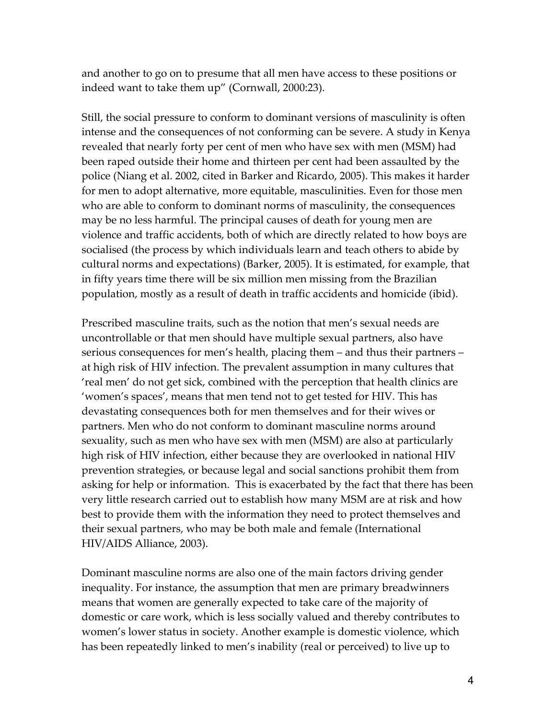and another to go on to presume that all men have access to these positions or indeed want to take them up" (Cornwall, 2000:23).

Still, the social pressure to conform to dominant versions of masculinity is often intense and the consequences of not conforming can be severe. A study in Kenya revealed that nearly forty per cent of men who have sex with men (MSM) had been raped outside their home and thirteen per cent had been assaulted by the police (Niang et al. 2002, cited in Barker and Ricardo, 2005). This makes it harder for men to adopt alternative, more equitable, masculinities. Even for those men who are able to conform to dominant norms of masculinity, the consequences may be no less harmful. The principal causes of death for young men are violence and traffic accidents, both of which are directly related to how boys are socialised (the process by which individuals learn and teach others to abide by cultural norms and expectations) (Barker, 2005). It is estimated, for example, that in fifty years time there will be six million men missing from the Brazilian population, mostly as a result of death in traffic accidents and homicide (ibid).

Prescribed masculine traits, such as the notion that men's sexual needs are uncontrollable or that men should have multiple sexual partners, also have serious consequences for men's health, placing them – and thus their partners – at high risk of HIV infection. The prevalent assumption in many cultures that 'real men' do not get sick, combined with the perception that health clinics are 'women's spaces', means that men tend not to get tested for HIV. This has devastating consequences both for men themselves and for their wives or partners. Men who do not conform to dominant masculine norms around sexuality, such as men who have sex with men (MSM) are also at particularly high risk of HIV infection, either because they are overlooked in national HIV prevention strategies, or because legal and social sanctions prohibit them from asking for help or information. This is exacerbated by the fact that there has been very little research carried out to establish how many MSM are at risk and how best to provide them with the information they need to protect themselves and their sexual partners, who may be both male and female (International HIV/AIDS Alliance, 2003).

Dominant masculine norms are also one of the main factors driving gender inequality. For instance, the assumption that men are primary breadwinners means that women are generally expected to take care of the majority of domestic or care work, which is less socially valued and thereby contributes to women's lower status in society. Another example is domestic violence, which has been repeatedly linked to men's inability (real or perceived) to live up to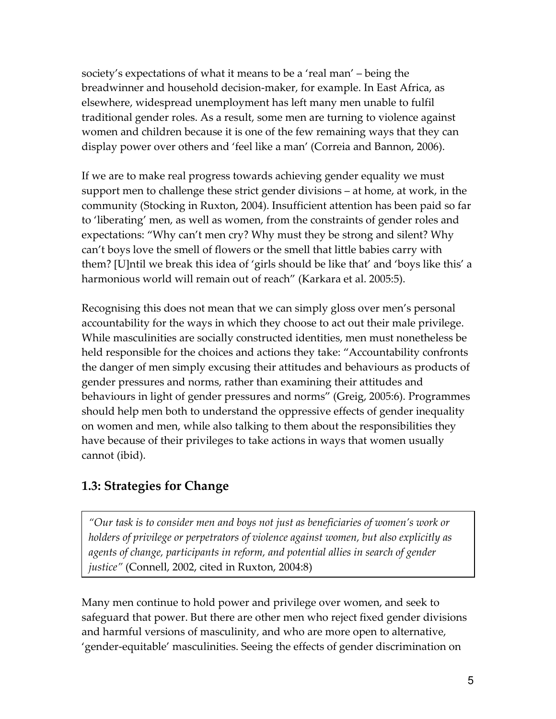society's expectations of what it means to be a 'real man' – being the breadwinner and household decision-maker, for example. In East Africa, as elsewhere, widespread unemployment has left many men unable to fulfil traditional gender roles. As a result, some men are turning to violence against women and children because it is one of the few remaining ways that they can display power over others and 'feel like a man' (Correia and Bannon, 2006).

If we are to make real progress towards achieving gender equality we must support men to challenge these strict gender divisions – at home, at work, in the community (Stocking in Ruxton, 2004). Insufficient attention has been paid so far to 'liberating' men, as well as women, from the constraints of gender roles and expectations: "Why can't men cry? Why must they be strong and silent? Why can't boys love the smell of flowers or the smell that little babies carry with them? [U]ntil we break this idea of 'girls should be like that' and 'boys like this' a harmonious world will remain out of reach" (Karkara et al. 2005:5).

Recognising this does not mean that we can simply gloss over men's personal accountability for the ways in which they choose to act out their male privilege. While masculinities are socially constructed identities, men must nonetheless be held responsible for the choices and actions they take: "Accountability confronts the danger of men simply excusing their attitudes and behaviours as products of gender pressures and norms, rather than examining their attitudes and behaviours in light of gender pressures and norms" (Greig, 2005:6). Programmes should help men both to understand the oppressive effects of gender inequality on women and men, while also talking to them about the responsibilities they have because of their privileges to take actions in ways that women usually cannot (ibid).

## 1.3: Strategies for Change

"Our task is to consider men and boys not just as beneficiaries of women's work or holders of privilege or perpetrators of violence against women, but also explicitly as agents of change, participants in reform, and potential allies in search of gender justice" (Connell, 2002, cited in Ruxton, 2004:8)

Many men continue to hold power and privilege over women, and seek to safeguard that power. But there are other men who reject fixed gender divisions and harmful versions of masculinity, and who are more open to alternative, 'gender-equitable' masculinities. Seeing the effects of gender discrimination on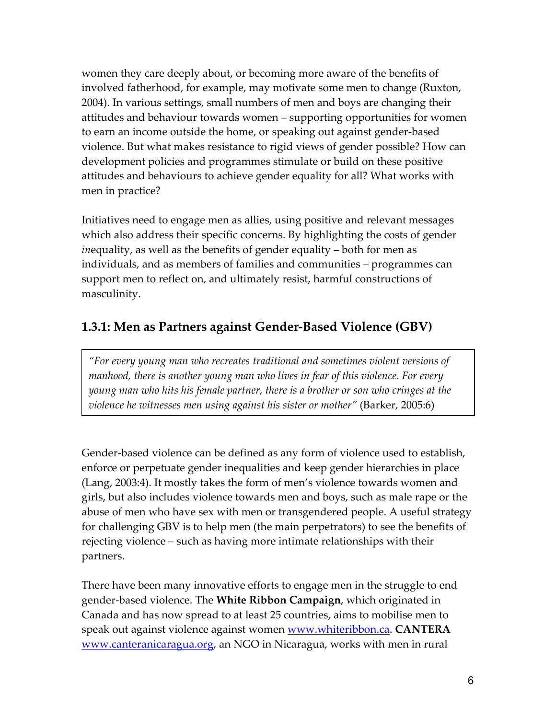women they care deeply about, or becoming more aware of the benefits of involved fatherhood, for example, may motivate some men to change (Ruxton, 2004). In various settings, small numbers of men and boys are changing their attitudes and behaviour towards women – supporting opportunities for women to earn an income outside the home, or speaking out against gender-based violence. But what makes resistance to rigid views of gender possible? How can development policies and programmes stimulate or build on these positive attitudes and behaviours to achieve gender equality for all? What works with men in practice?

Initiatives need to engage men as allies, using positive and relevant messages which also address their specific concerns. By highlighting the costs of gender inequality, as well as the benefits of gender equality – both for men as individuals, and as members of families and communities – programmes can support men to reflect on, and ultimately resist, harmful constructions of masculinity.

## 1.3.1: Men as Partners against Gender-Based Violence (GBV)

"For every young man who recreates traditional and sometimes violent versions of manhood, there is another young man who lives in fear of this violence. For every young man who hits his female partner, there is a brother or son who cringes at the violence he witnesses men using against his sister or mother" (Barker, 2005:6)

Gender-based violence can be defined as any form of violence used to establish, enforce or perpetuate gender inequalities and keep gender hierarchies in place (Lang, 2003:4). It mostly takes the form of men's violence towards women and girls, but also includes violence towards men and boys, such as male rape or the abuse of men who have sex with men or transgendered people. A useful strategy for challenging GBV is to help men (the main perpetrators) to see the benefits of rejecting violence – such as having more intimate relationships with their partners.

There have been many innovative efforts to engage men in the struggle to end gender-based violence. The White Ribbon Campaign, which originated in Canada and has now spread to at least 25 countries, aims to mobilise men to speak out against violence against women www.whiteribbon.ca. CANTERA www.canteranicaragua.org, an NGO in Nicaragua, works with men in rural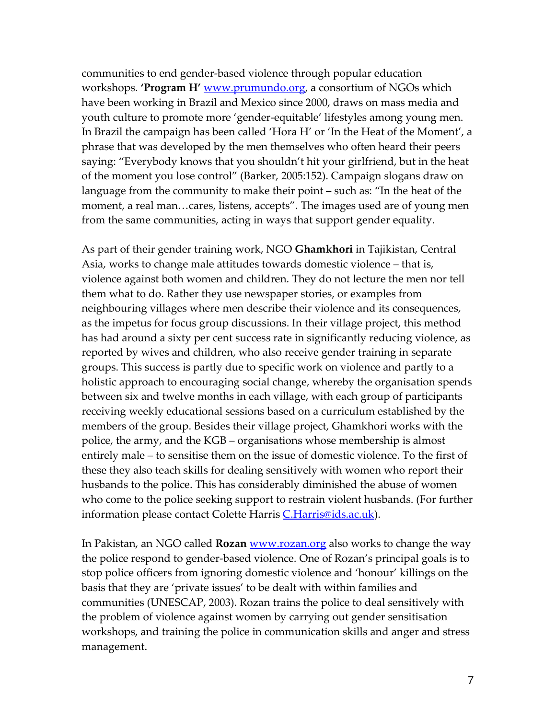communities to end gender-based violence through popular education workshops. **'Program H'** www.prumundo.org, a consortium of NGOs which have been working in Brazil and Mexico since 2000, draws on mass media and youth culture to promote more 'gender-equitable' lifestyles among young men. In Brazil the campaign has been called 'Hora H' or 'In the Heat of the Moment', a phrase that was developed by the men themselves who often heard their peers saying: "Everybody knows that you shouldn't hit your girlfriend, but in the heat of the moment you lose control" (Barker, 2005:152). Campaign slogans draw on language from the community to make their point – such as: "In the heat of the moment, a real man…cares, listens, accepts". The images used are of young men from the same communities, acting in ways that support gender equality.

As part of their gender training work, NGO Ghamkhori in Tajikistan, Central Asia, works to change male attitudes towards domestic violence – that is, violence against both women and children. They do not lecture the men nor tell them what to do. Rather they use newspaper stories, or examples from neighbouring villages where men describe their violence and its consequences, as the impetus for focus group discussions. In their village project, this method has had around a sixty per cent success rate in significantly reducing violence, as reported by wives and children, who also receive gender training in separate groups. This success is partly due to specific work on violence and partly to a holistic approach to encouraging social change, whereby the organisation spends between six and twelve months in each village, with each group of participants receiving weekly educational sessions based on a curriculum established by the members of the group. Besides their village project, Ghamkhori works with the police, the army, and the KGB – organisations whose membership is almost entirely male – to sensitise them on the issue of domestic violence. To the first of these they also teach skills for dealing sensitively with women who report their husbands to the police. This has considerably diminished the abuse of women who come to the police seeking support to restrain violent husbands. (For further information please contact Colette Harris C.Harris@ids.ac.uk).

In Pakistan, an NGO called **Rozan** www.rozan.org also works to change the way the police respond to gender-based violence. One of Rozan's principal goals is to stop police officers from ignoring domestic violence and 'honour' killings on the basis that they are 'private issues' to be dealt with within families and communities (UNESCAP, 2003). Rozan trains the police to deal sensitively with the problem of violence against women by carrying out gender sensitisation workshops, and training the police in communication skills and anger and stress management.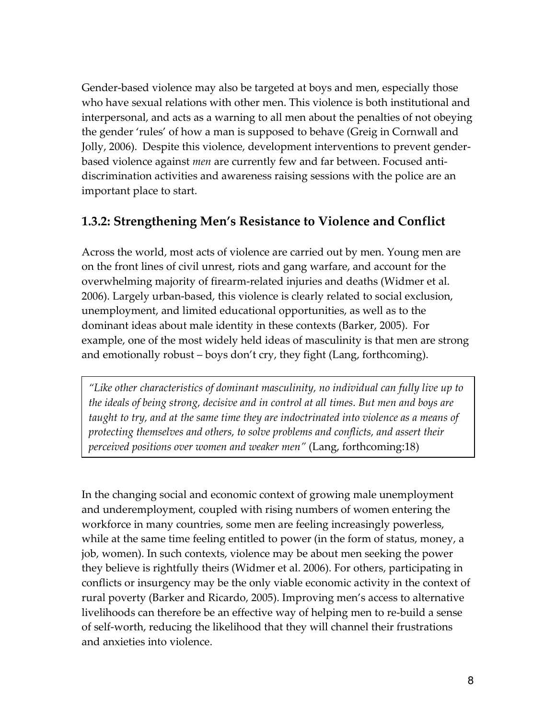Gender-based violence may also be targeted at boys and men, especially those who have sexual relations with other men. This violence is both institutional and interpersonal, and acts as a warning to all men about the penalties of not obeying the gender 'rules' of how a man is supposed to behave (Greig in Cornwall and Jolly, 2006). Despite this violence, development interventions to prevent genderbased violence against *men* are currently few and far between. Focused antidiscrimination activities and awareness raising sessions with the police are an important place to start.

## 1.3.2: Strengthening Men's Resistance to Violence and Conflict

Across the world, most acts of violence are carried out by men. Young men are on the front lines of civil unrest, riots and gang warfare, and account for the overwhelming majority of firearm-related injuries and deaths (Widmer et al. 2006). Largely urban-based, this violence is clearly related to social exclusion, unemployment, and limited educational opportunities, as well as to the dominant ideas about male identity in these contexts (Barker, 2005). For example, one of the most widely held ideas of masculinity is that men are strong and emotionally robust – boys don't cry, they fight (Lang, forthcoming).

"Like other characteristics of dominant masculinity, no individual can fully live up to the ideals of being strong, decisive and in control at all times. But men and boys are taught to try, and at the same time they are indoctrinated into violence as a means of protecting themselves and others, to solve problems and conflicts, and assert their perceived positions over women and weaker men" (Lang, forthcoming:18)

In the changing social and economic context of growing male unemployment and underemployment, coupled with rising numbers of women entering the workforce in many countries, some men are feeling increasingly powerless, while at the same time feeling entitled to power (in the form of status, money, a job, women). In such contexts, violence may be about men seeking the power they believe is rightfully theirs (Widmer et al. 2006). For others, participating in conflicts or insurgency may be the only viable economic activity in the context of rural poverty (Barker and Ricardo, 2005). Improving men's access to alternative livelihoods can therefore be an effective way of helping men to re-build a sense of self-worth, reducing the likelihood that they will channel their frustrations and anxieties into violence.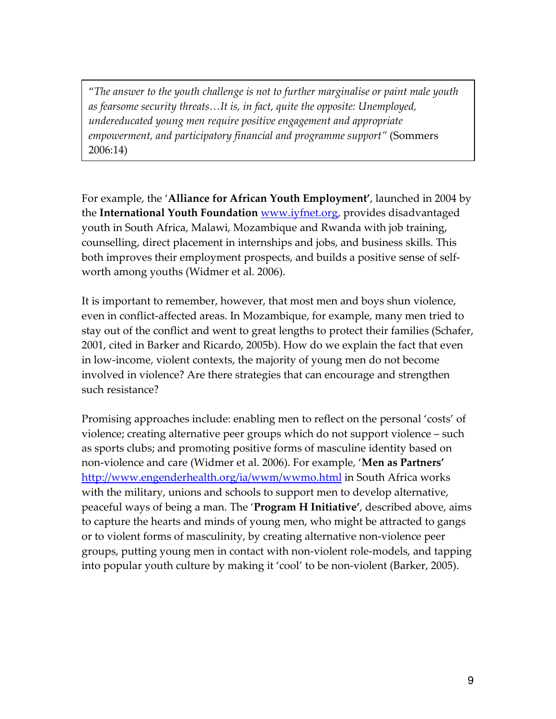"The answer to the youth challenge is not to further marginalise or paint male youth as fearsome security threats…It is, in fact, quite the opposite: Unemployed, undereducated young men require positive engagement and appropriate empowerment, and participatory financial and programme support" (Sommers 2006:14)

For example, the 'Alliance for African Youth Employment', launched in 2004 by the International Youth Foundation www.iyfnet.org, provides disadvantaged youth in South Africa, Malawi, Mozambique and Rwanda with job training, counselling, direct placement in internships and jobs, and business skills. This both improves their employment prospects, and builds a positive sense of selfworth among youths (Widmer et al. 2006).

It is important to remember, however, that most men and boys shun violence, even in conflict-affected areas. In Mozambique, for example, many men tried to stay out of the conflict and went to great lengths to protect their families (Schafer, 2001, cited in Barker and Ricardo, 2005b). How do we explain the fact that even in low-income, violent contexts, the majority of young men do not become involved in violence? Are there strategies that can encourage and strengthen such resistance?

Promising approaches include: enabling men to reflect on the personal 'costs' of violence; creating alternative peer groups which do not support violence – such as sports clubs; and promoting positive forms of masculine identity based on non-violence and care (Widmer et al. 2006). For example, 'Men as Partners' http://www.engenderhealth.org/ia/wwm/wwmo.html in South Africa works with the military, unions and schools to support men to develop alternative, peaceful ways of being a man. The 'Program H Initiative', described above, aims to capture the hearts and minds of young men, who might be attracted to gangs or to violent forms of masculinity, by creating alternative non-violence peer groups, putting young men in contact with non-violent role-models, and tapping into popular youth culture by making it 'cool' to be non-violent (Barker, 2005).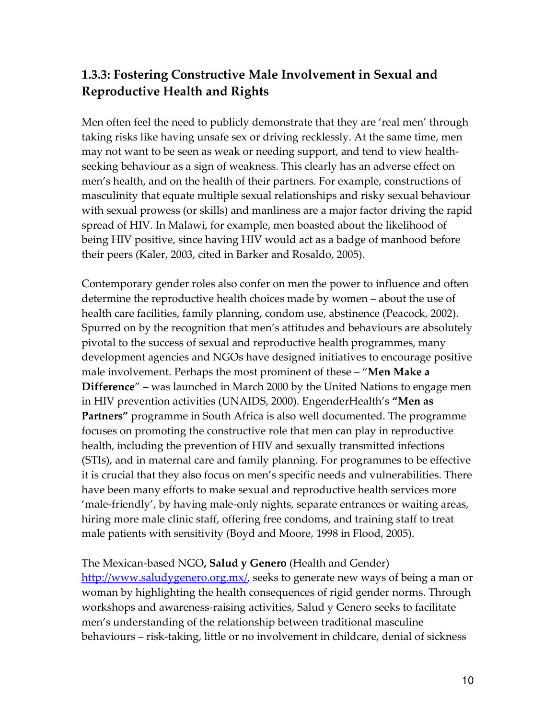## 1.3.3: Fostering Constructive Male Involvement in Sexual and Reproductive Health and Rights

Men often feel the need to publicly demonstrate that they are 'real men' through taking risks like having unsafe sex or driving recklessly. At the same time, men may not want to be seen as weak or needing support, and tend to view healthseeking behaviour as a sign of weakness. This clearly has an adverse effect on men's health, and on the health of their partners. For example, constructions of masculinity that equate multiple sexual relationships and risky sexual behaviour with sexual prowess (or skills) and manliness are a major factor driving the rapid spread of HIV. In Malawi, for example, men boasted about the likelihood of being HIV positive, since having HIV would act as a badge of manhood before their peers (Kaler, 2003, cited in Barker and Rosaldo, 2005).

Contemporary gender roles also confer on men the power to influence and often determine the reproductive health choices made by women – about the use of health care facilities, family planning, condom use, abstinence (Peacock, 2002). Spurred on by the recognition that men's attitudes and behaviours are absolutely pivotal to the success of sexual and reproductive health programmes, many development agencies and NGOs have designed initiatives to encourage positive male involvement. Perhaps the most prominent of these – "Men Make a Difference" – was launched in March 2000 by the United Nations to engage men in HIV prevention activities (UNAIDS, 2000). EngenderHealth's "Men as Partners" programme in South Africa is also well documented. The programme focuses on promoting the constructive role that men can play in reproductive health, including the prevention of HIV and sexually transmitted infections (STIs), and in maternal care and family planning. For programmes to be effective it is crucial that they also focus on men's specific needs and vulnerabilities. There have been many efforts to make sexual and reproductive health services more 'male-friendly', by having male-only nights, separate entrances or waiting areas, hiring more male clinic staff, offering free condoms, and training staff to treat male patients with sensitivity (Boyd and Moore, 1998 in Flood, 2005).

#### The Mexican-based NGO, Salud y Genero (Health and Gender)

http://www.saludygenero.org.mx/, seeks to generate new ways of being a man or woman by highlighting the health consequences of rigid gender norms. Through workshops and awareness-raising activities, Salud y Genero seeks to facilitate men's understanding of the relationship between traditional masculine behaviours – risk-taking, little or no involvement in childcare, denial of sickness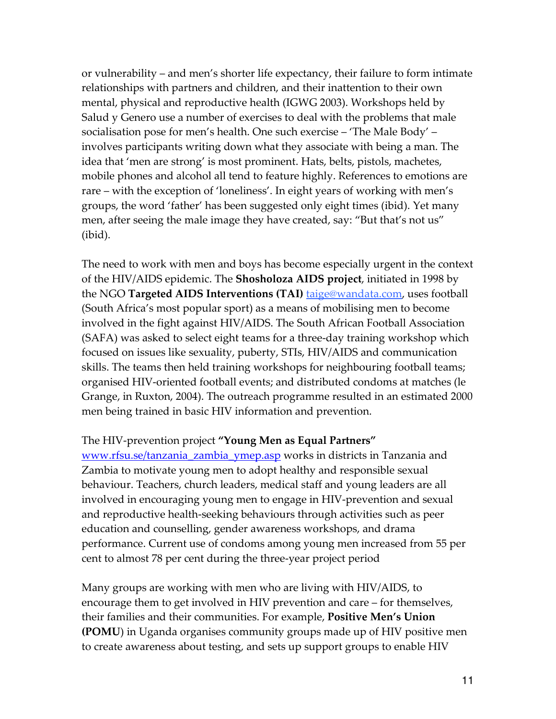or vulnerability – and men's shorter life expectancy, their failure to form intimate relationships with partners and children, and their inattention to their own mental, physical and reproductive health (IGWG 2003). Workshops held by Salud y Genero use a number of exercises to deal with the problems that male socialisation pose for men's health. One such exercise – 'The Male Body' – involves participants writing down what they associate with being a man. The idea that 'men are strong' is most prominent. Hats, belts, pistols, machetes, mobile phones and alcohol all tend to feature highly. References to emotions are rare – with the exception of 'loneliness'. In eight years of working with men's groups, the word 'father' has been suggested only eight times (ibid). Yet many men, after seeing the male image they have created, say: "But that's not us" (ibid).

The need to work with men and boys has become especially urgent in the context of the HIV/AIDS epidemic. The Shosholoza AIDS project, initiated in 1998 by the NGO Targeted AIDS Interventions (TAI) **taige@wandata.com**, uses football (South Africa's most popular sport) as a means of mobilising men to become involved in the fight against HIV/AIDS. The South African Football Association (SAFA) was asked to select eight teams for a three-day training workshop which focused on issues like sexuality, puberty, STIs, HIV/AIDS and communication skills. The teams then held training workshops for neighbouring football teams; organised HIV-oriented football events; and distributed condoms at matches (le Grange, in Ruxton, 2004). The outreach programme resulted in an estimated 2000 men being trained in basic HIV information and prevention.

#### The HIV-prevention project "Young Men as Equal Partners"

www.rfsu.se/tanzania\_zambia\_ymep.asp works in districts in Tanzania and Zambia to motivate young men to adopt healthy and responsible sexual behaviour. Teachers, church leaders, medical staff and young leaders are all involved in encouraging young men to engage in HIV-prevention and sexual and reproductive health-seeking behaviours through activities such as peer education and counselling, gender awareness workshops, and drama performance. Current use of condoms among young men increased from 55 per cent to almost 78 per cent during the three-year project period

Many groups are working with men who are living with HIV/AIDS, to encourage them to get involved in HIV prevention and care – for themselves, their families and their communities. For example, Positive Men's Union (POMU) in Uganda organises community groups made up of HIV positive men to create awareness about testing, and sets up support groups to enable HIV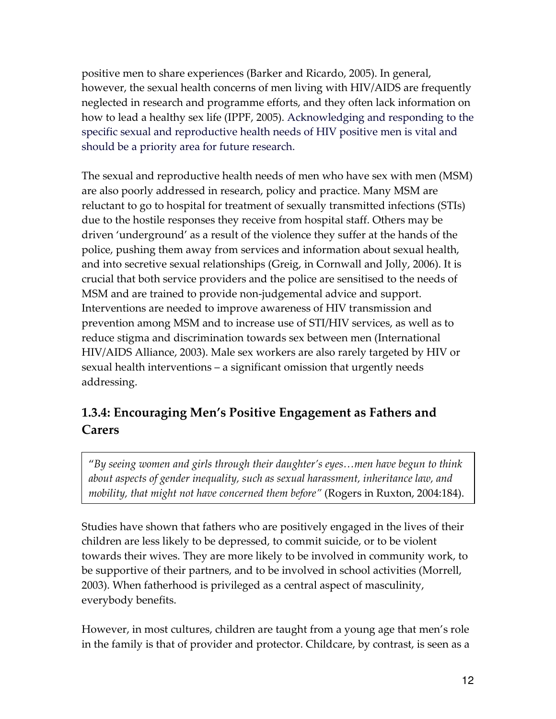positive men to share experiences (Barker and Ricardo, 2005). In general, however, the sexual health concerns of men living with HIV/AIDS are frequently neglected in research and programme efforts, and they often lack information on how to lead a healthy sex life (IPPF, 2005). Acknowledging and responding to the specific sexual and reproductive health needs of HIV positive men is vital and should be a priority area for future research.

The sexual and reproductive health needs of men who have sex with men (MSM) are also poorly addressed in research, policy and practice. Many MSM are reluctant to go to hospital for treatment of sexually transmitted infections (STIs) due to the hostile responses they receive from hospital staff. Others may be driven 'underground' as a result of the violence they suffer at the hands of the police, pushing them away from services and information about sexual health, and into secretive sexual relationships (Greig, in Cornwall and Jolly, 2006). It is crucial that both service providers and the police are sensitised to the needs of MSM and are trained to provide non-judgemental advice and support. Interventions are needed to improve awareness of HIV transmission and prevention among MSM and to increase use of STI/HIV services, as well as to reduce stigma and discrimination towards sex between men (International HIV/AIDS Alliance, 2003). Male sex workers are also rarely targeted by HIV or sexual health interventions – a significant omission that urgently needs addressing.

## 1.3.4: Encouraging Men's Positive Engagement as Fathers and Carers

"By seeing women and girls through their daughter's eyes…men have begun to think about aspects of gender inequality, such as sexual harassment, inheritance law, and mobility, that might not have concerned them before" (Rogers in Ruxton, 2004:184).

Studies have shown that fathers who are positively engaged in the lives of their children are less likely to be depressed, to commit suicide, or to be violent towards their wives. They are more likely to be involved in community work, to be supportive of their partners, and to be involved in school activities (Morrell, 2003). When fatherhood is privileged as a central aspect of masculinity, everybody benefits.

However, in most cultures, children are taught from a young age that men's role in the family is that of provider and protector. Childcare, by contrast, is seen as a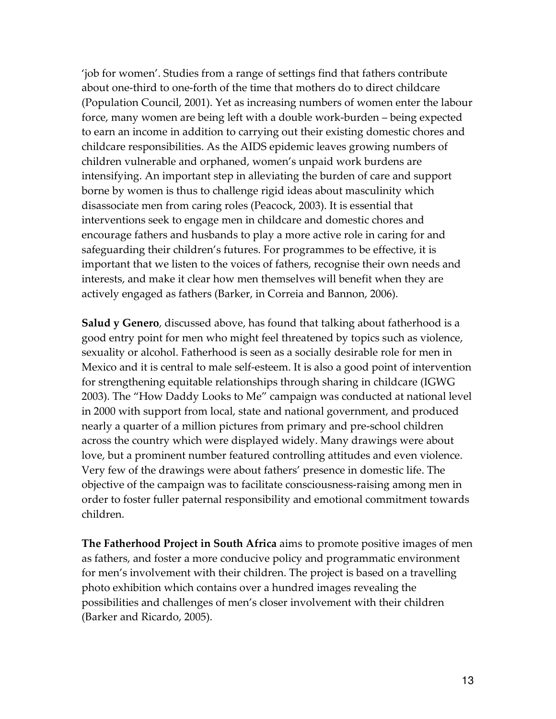'job for women'. Studies from a range of settings find that fathers contribute about one-third to one-forth of the time that mothers do to direct childcare (Population Council, 2001). Yet as increasing numbers of women enter the labour force, many women are being left with a double work-burden – being expected to earn an income in addition to carrying out their existing domestic chores and childcare responsibilities. As the AIDS epidemic leaves growing numbers of children vulnerable and orphaned, women's unpaid work burdens are intensifying. An important step in alleviating the burden of care and support borne by women is thus to challenge rigid ideas about masculinity which disassociate men from caring roles (Peacock, 2003). It is essential that interventions seek to engage men in childcare and domestic chores and encourage fathers and husbands to play a more active role in caring for and safeguarding their children's futures. For programmes to be effective, it is important that we listen to the voices of fathers, recognise their own needs and interests, and make it clear how men themselves will benefit when they are actively engaged as fathers (Barker, in Correia and Bannon, 2006).

**Salud y Genero**, discussed above, has found that talking about fatherhood is a good entry point for men who might feel threatened by topics such as violence, sexuality or alcohol. Fatherhood is seen as a socially desirable role for men in Mexico and it is central to male self-esteem. It is also a good point of intervention for strengthening equitable relationships through sharing in childcare (IGWG 2003). The "How Daddy Looks to Me" campaign was conducted at national level in 2000 with support from local, state and national government, and produced nearly a quarter of a million pictures from primary and pre-school children across the country which were displayed widely. Many drawings were about love, but a prominent number featured controlling attitudes and even violence. Very few of the drawings were about fathers' presence in domestic life. The objective of the campaign was to facilitate consciousness-raising among men in order to foster fuller paternal responsibility and emotional commitment towards children.

The Fatherhood Project in South Africa aims to promote positive images of men as fathers, and foster a more conducive policy and programmatic environment for men's involvement with their children. The project is based on a travelling photo exhibition which contains over a hundred images revealing the possibilities and challenges of men's closer involvement with their children (Barker and Ricardo, 2005).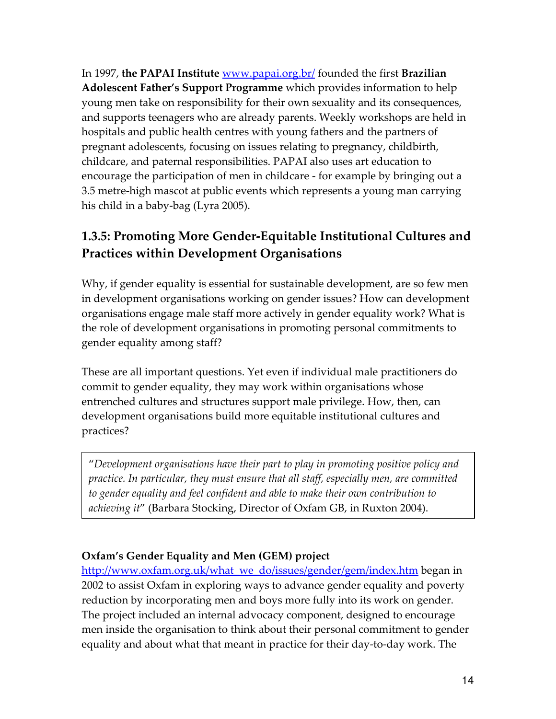In 1997, the PAPAI Institute <u>www.papai.org.br/</u> founded the first Brazilian Adolescent Father's Support Programme which provides information to help young men take on responsibility for their own sexuality and its consequences, and supports teenagers who are already parents. Weekly workshops are held in hospitals and public health centres with young fathers and the partners of pregnant adolescents, focusing on issues relating to pregnancy, childbirth, childcare, and paternal responsibilities. PAPAI also uses art education to encourage the participation of men in childcare - for example by bringing out a 3.5 metre-high mascot at public events which represents a young man carrying his child in a baby-bag (Lyra 2005).

## 1.3.5: Promoting More Gender-Equitable Institutional Cultures and Practices within Development Organisations

Why, if gender equality is essential for sustainable development, are so few men in development organisations working on gender issues? How can development organisations engage male staff more actively in gender equality work? What is the role of development organisations in promoting personal commitments to gender equality among staff?

These are all important questions. Yet even if individual male practitioners do commit to gender equality, they may work within organisations whose entrenched cultures and structures support male privilege. How, then, can development organisations build more equitable institutional cultures and practices?

"Development organisations have their part to play in promoting positive policy and practice. In particular, they must ensure that all staff, especially men, are committed to gender equality and feel confident and able to make their own contribution to achieving it" (Barbara Stocking, Director of Oxfam GB, in Ruxton 2004).

## Oxfam's Gender Equality and Men (GEM) project

http://www.oxfam.org.uk/what\_we\_do/issues/gender/gem/index.htm began in 2002 to assist Oxfam in exploring ways to advance gender equality and poverty reduction by incorporating men and boys more fully into its work on gender. The project included an internal advocacy component, designed to encourage men inside the organisation to think about their personal commitment to gender equality and about what that meant in practice for their day-to-day work. The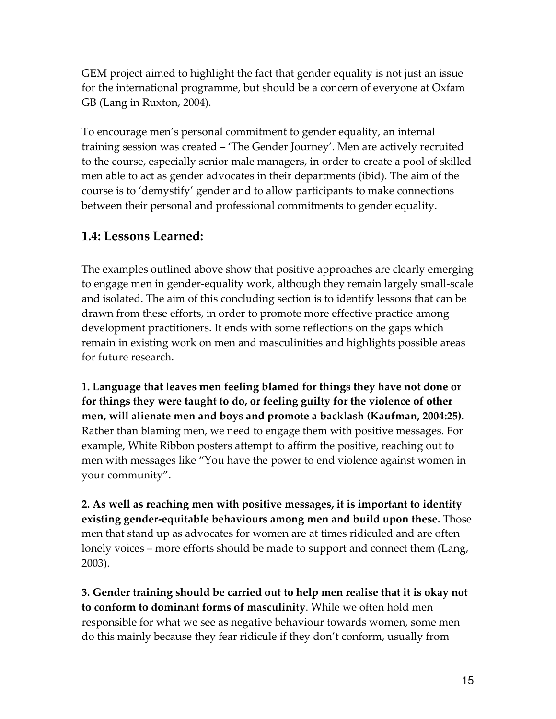GEM project aimed to highlight the fact that gender equality is not just an issue for the international programme, but should be a concern of everyone at Oxfam GB (Lang in Ruxton, 2004).

To encourage men's personal commitment to gender equality, an internal training session was created – 'The Gender Journey'. Men are actively recruited to the course, especially senior male managers, in order to create a pool of skilled men able to act as gender advocates in their departments (ibid). The aim of the course is to 'demystify' gender and to allow participants to make connections between their personal and professional commitments to gender equality.

## 1.4: Lessons Learned:

The examples outlined above show that positive approaches are clearly emerging to engage men in gender-equality work, although they remain largely small-scale and isolated. The aim of this concluding section is to identify lessons that can be drawn from these efforts, in order to promote more effective practice among development practitioners. It ends with some reflections on the gaps which remain in existing work on men and masculinities and highlights possible areas for future research.

1. Language that leaves men feeling blamed for things they have not done or for things they were taught to do, or feeling guilty for the violence of other men, will alienate men and boys and promote a backlash (Kaufman, 2004:25). Rather than blaming men, we need to engage them with positive messages. For example, White Ribbon posters attempt to affirm the positive, reaching out to men with messages like "You have the power to end violence against women in your community".

2. As well as reaching men with positive messages, it is important to identity existing gender-equitable behaviours among men and build upon these. Those men that stand up as advocates for women are at times ridiculed and are often lonely voices – more efforts should be made to support and connect them (Lang, 2003).

3. Gender training should be carried out to help men realise that it is okay not to conform to dominant forms of masculinity. While we often hold men responsible for what we see as negative behaviour towards women, some men do this mainly because they fear ridicule if they don't conform, usually from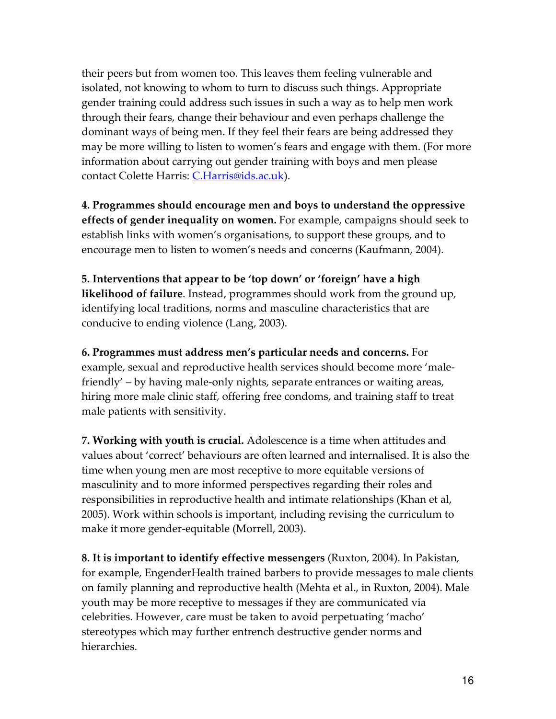their peers but from women too. This leaves them feeling vulnerable and isolated, not knowing to whom to turn to discuss such things. Appropriate gender training could address such issues in such a way as to help men work through their fears, change their behaviour and even perhaps challenge the dominant ways of being men. If they feel their fears are being addressed they may be more willing to listen to women's fears and engage with them. (For more information about carrying out gender training with boys and men please contact Colette Harris: C.Harris@ids.ac.uk).

4. Programmes should encourage men and boys to understand the oppressive effects of gender inequality on women. For example, campaigns should seek to establish links with women's organisations, to support these groups, and to encourage men to listen to women's needs and concerns (Kaufmann, 2004).

5. Interventions that appear to be 'top down' or 'foreign' have a high likelihood of failure. Instead, programmes should work from the ground up, identifying local traditions, norms and masculine characteristics that are conducive to ending violence (Lang, 2003).

6. Programmes must address men's particular needs and concerns. For example, sexual and reproductive health services should become more 'malefriendly' – by having male-only nights, separate entrances or waiting areas, hiring more male clinic staff, offering free condoms, and training staff to treat male patients with sensitivity.

7. Working with youth is crucial. Adolescence is a time when attitudes and values about 'correct' behaviours are often learned and internalised. It is also the time when young men are most receptive to more equitable versions of masculinity and to more informed perspectives regarding their roles and responsibilities in reproductive health and intimate relationships (Khan et al, 2005). Work within schools is important, including revising the curriculum to make it more gender-equitable (Morrell, 2003).

8. It is important to identify effective messengers (Ruxton, 2004). In Pakistan, for example, EngenderHealth trained barbers to provide messages to male clients on family planning and reproductive health (Mehta et al., in Ruxton, 2004). Male youth may be more receptive to messages if they are communicated via celebrities. However, care must be taken to avoid perpetuating 'macho' stereotypes which may further entrench destructive gender norms and hierarchies.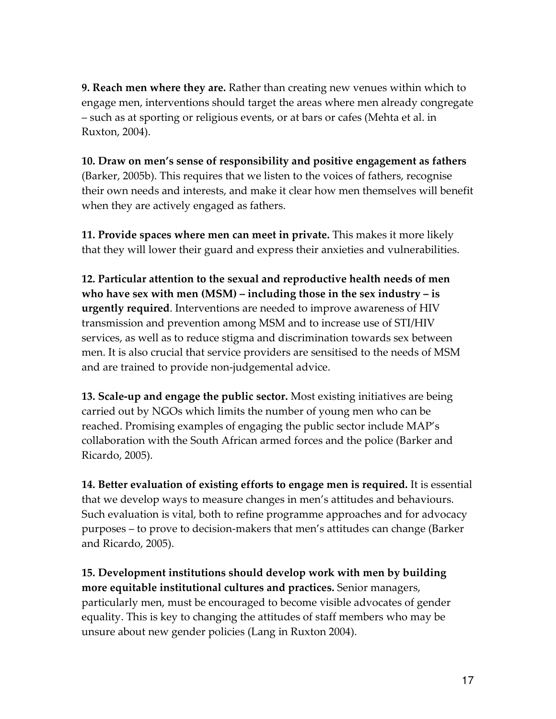**9. Reach men where they are.** Rather than creating new venues within which to engage men, interventions should target the areas where men already congregate – such as at sporting or religious events, or at bars or cafes (Mehta et al. in Ruxton, 2004).

10. Draw on men's sense of responsibility and positive engagement as fathers (Barker, 2005b). This requires that we listen to the voices of fathers, recognise their own needs and interests, and make it clear how men themselves will benefit when they are actively engaged as fathers.

11. Provide spaces where men can meet in private. This makes it more likely that they will lower their guard and express their anxieties and vulnerabilities.

12. Particular attention to the sexual and reproductive health needs of men who have sex with men (MSM) – including those in the sex industry – is urgently required. Interventions are needed to improve awareness of HIV transmission and prevention among MSM and to increase use of STI/HIV services, as well as to reduce stigma and discrimination towards sex between men. It is also crucial that service providers are sensitised to the needs of MSM and are trained to provide non-judgemental advice.

13. Scale-up and engage the public sector. Most existing initiatives are being carried out by NGOs which limits the number of young men who can be reached. Promising examples of engaging the public sector include MAP's collaboration with the South African armed forces and the police (Barker and Ricardo, 2005).

14. Better evaluation of existing efforts to engage men is required. It is essential that we develop ways to measure changes in men's attitudes and behaviours. Such evaluation is vital, both to refine programme approaches and for advocacy purposes – to prove to decision-makers that men's attitudes can change (Barker and Ricardo, 2005).

15. Development institutions should develop work with men by building more equitable institutional cultures and practices. Senior managers, particularly men, must be encouraged to become visible advocates of gender equality. This is key to changing the attitudes of staff members who may be unsure about new gender policies (Lang in Ruxton 2004).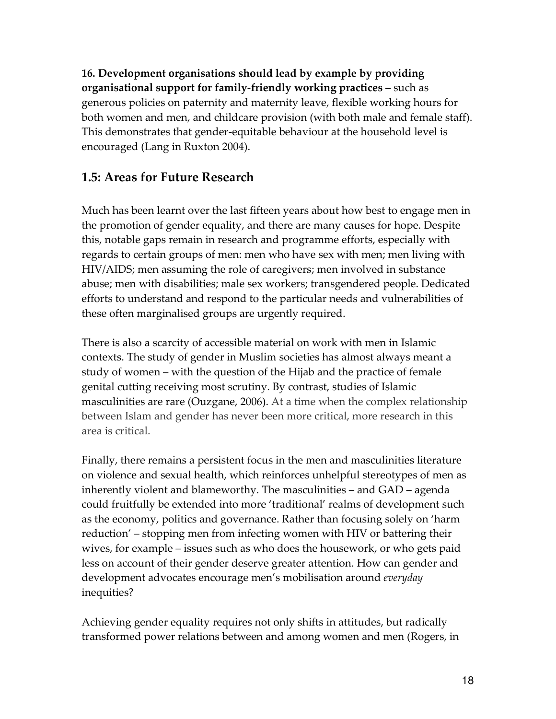16. Development organisations should lead by example by providing organisational support for family-friendly working practices – such as generous policies on paternity and maternity leave, flexible working hours for both women and men, and childcare provision (with both male and female staff). This demonstrates that gender-equitable behaviour at the household level is encouraged (Lang in Ruxton 2004).

## 1.5: Areas for Future Research

Much has been learnt over the last fifteen years about how best to engage men in the promotion of gender equality, and there are many causes for hope. Despite this, notable gaps remain in research and programme efforts, especially with regards to certain groups of men: men who have sex with men; men living with HIV/AIDS; men assuming the role of caregivers; men involved in substance abuse; men with disabilities; male sex workers; transgendered people. Dedicated efforts to understand and respond to the particular needs and vulnerabilities of these often marginalised groups are urgently required.

There is also a scarcity of accessible material on work with men in Islamic contexts. The study of gender in Muslim societies has almost always meant a study of women – with the question of the Hijab and the practice of female genital cutting receiving most scrutiny. By contrast, studies of Islamic masculinities are rare (Ouzgane, 2006). At a time when the complex relationship between Islam and gender has never been more critical, more research in this area is critical.

Finally, there remains a persistent focus in the men and masculinities literature on violence and sexual health, which reinforces unhelpful stereotypes of men as inherently violent and blameworthy. The masculinities – and GAD – agenda could fruitfully be extended into more 'traditional' realms of development such as the economy, politics and governance. Rather than focusing solely on 'harm reduction' – stopping men from infecting women with HIV or battering their wives, for example – issues such as who does the housework, or who gets paid less on account of their gender deserve greater attention. How can gender and development advocates encourage men's mobilisation around everyday inequities?

Achieving gender equality requires not only shifts in attitudes, but radically transformed power relations between and among women and men (Rogers, in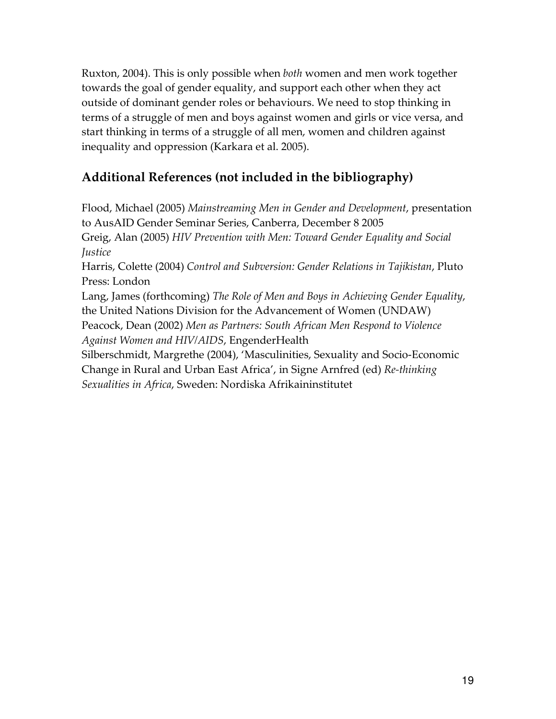Ruxton, 2004). This is only possible when both women and men work together towards the goal of gender equality, and support each other when they act outside of dominant gender roles or behaviours. We need to stop thinking in terms of a struggle of men and boys against women and girls or vice versa, and start thinking in terms of a struggle of all men, women and children against inequality and oppression (Karkara et al. 2005).

## Additional References (not included in the bibliography)

Flood, Michael (2005) Mainstreaming Men in Gender and Development, presentation to AusAID Gender Seminar Series, Canberra, December 8 2005 Greig, Alan (2005) HIV Prevention with Men: Toward Gender Equality and Social *<u>Iustice</u>* Harris, Colette (2004) Control and Subversion: Gender Relations in Tajikistan, Pluto Press: London Lang, James (forthcoming) The Role of Men and Boys in Achieving Gender Equality, the United Nations Division for the Advancement of Women (UNDAW) Peacock, Dean (2002) Men as Partners: South African Men Respond to Violence Against Women and HIV/AIDS, EngenderHealth Silberschmidt, Margrethe (2004), 'Masculinities, Sexuality and Socio-Economic Change in Rural and Urban East Africa', in Signe Arnfred (ed) Re-thinking

Sexualities in Africa, Sweden: Nordiska Afrikaininstitutet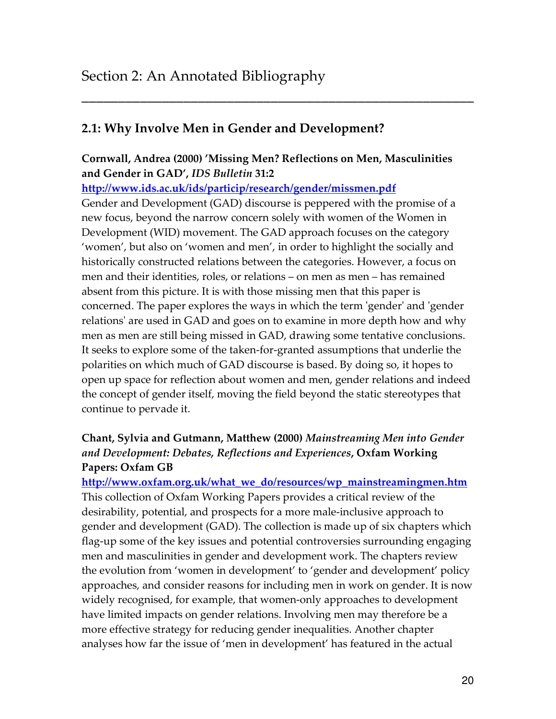## 2.1: Why Involve Men in Gender and Development?

#### Cornwall, Andrea (2000) 'Missing Men? Reflections on Men, Masculinities and Gender in GAD', IDS Bulletin 31:2

\_\_\_\_\_\_\_\_\_\_\_\_\_\_\_\_\_\_\_\_\_\_\_\_\_\_\_\_\_\_\_\_\_\_\_\_\_\_\_\_\_\_\_\_\_\_\_\_\_\_\_\_\_\_

http://www.ids.ac.uk/ids/particip/research/gender/missmen.pdf

Gender and Development (GAD) discourse is peppered with the promise of a new focus, beyond the narrow concern solely with women of the Women in Development (WID) movement. The GAD approach focuses on the category 'women', but also on 'women and men', in order to highlight the socially and historically constructed relations between the categories. However, a focus on men and their identities, roles, or relations – on men as men – has remained absent from this picture. It is with those missing men that this paper is concerned. The paper explores the ways in which the term 'gender' and 'gender relations' are used in GAD and goes on to examine in more depth how and why men as men are still being missed in GAD, drawing some tentative conclusions. It seeks to explore some of the taken-for-granted assumptions that underlie the polarities on which much of GAD discourse is based. By doing so, it hopes to open up space for reflection about women and men, gender relations and indeed the concept of gender itself, moving the field beyond the static stereotypes that continue to pervade it.

## Chant, Sylvia and Gutmann, Matthew (2000) Mainstreaming Men into Gender and Development: Debates, Reflections and Experiences, Oxfam Working Papers: Oxfam GB

http://www.oxfam.org.uk/what\_we\_do/resources/wp\_mainstreamingmen.htm This collection of Oxfam Working Papers provides a critical review of the desirability, potential, and prospects for a more male-inclusive approach to gender and development (GAD). The collection is made up of six chapters which flag-up some of the key issues and potential controversies surrounding engaging men and masculinities in gender and development work. The chapters review the evolution from 'women in development' to 'gender and development' policy approaches, and consider reasons for including men in work on gender. It is now widely recognised, for example, that women-only approaches to development have limited impacts on gender relations. Involving men may therefore be a more effective strategy for reducing gender inequalities. Another chapter analyses how far the issue of 'men in development' has featured in the actual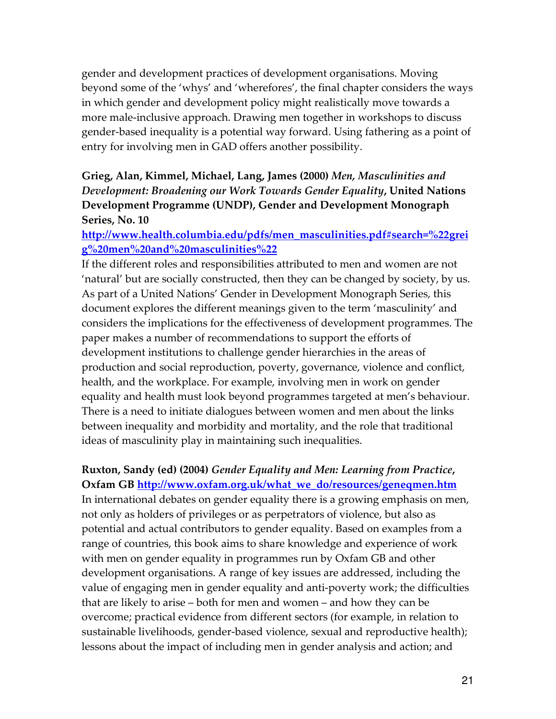gender and development practices of development organisations. Moving beyond some of the 'whys' and 'wherefores', the final chapter considers the ways in which gender and development policy might realistically move towards a more male-inclusive approach. Drawing men together in workshops to discuss gender-based inequality is a potential way forward. Using fathering as a point of entry for involving men in GAD offers another possibility.

### Grieg, Alan, Kimmel, Michael, Lang, James (2000) Men, Masculinities and Development: Broadening our Work Towards Gender Equality, United Nations Development Programme (UNDP), Gender and Development Monograph Series, No. 10

http://www.health.columbia.edu/pdfs/men\_masculinities.pdf#search=%22grei g%20men%20and%20masculinities%22

If the different roles and responsibilities attributed to men and women are not 'natural' but are socially constructed, then they can be changed by society, by us. As part of a United Nations' Gender in Development Monograph Series, this document explores the different meanings given to the term 'masculinity' and considers the implications for the effectiveness of development programmes. The paper makes a number of recommendations to support the efforts of development institutions to challenge gender hierarchies in the areas of production and social reproduction, poverty, governance, violence and conflict, health, and the workplace. For example, involving men in work on gender equality and health must look beyond programmes targeted at men's behaviour. There is a need to initiate dialogues between women and men about the links between inequality and morbidity and mortality, and the role that traditional ideas of masculinity play in maintaining such inequalities.

## Ruxton, Sandy (ed) (2004) Gender Equality and Men: Learning from Practice,

Oxfam GB http://www.oxfam.org.uk/what\_we\_do/resources/geneqmen.htm In international debates on gender equality there is a growing emphasis on men, not only as holders of privileges or as perpetrators of violence, but also as potential and actual contributors to gender equality. Based on examples from a range of countries, this book aims to share knowledge and experience of work with men on gender equality in programmes run by Oxfam GB and other development organisations. A range of key issues are addressed, including the value of engaging men in gender equality and anti-poverty work; the difficulties that are likely to arise – both for men and women – and how they can be overcome; practical evidence from different sectors (for example, in relation to sustainable livelihoods, gender-based violence, sexual and reproductive health); lessons about the impact of including men in gender analysis and action; and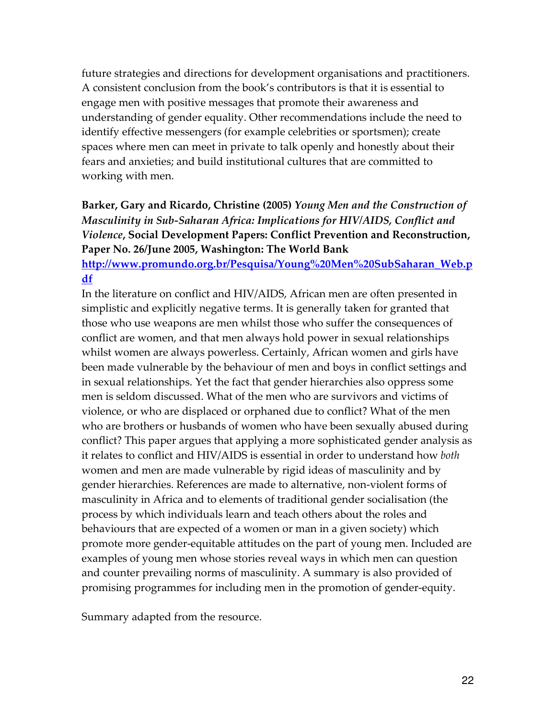future strategies and directions for development organisations and practitioners. A consistent conclusion from the book's contributors is that it is essential to engage men with positive messages that promote their awareness and understanding of gender equality. Other recommendations include the need to identify effective messengers (for example celebrities or sportsmen); create spaces where men can meet in private to talk openly and honestly about their fears and anxieties; and build institutional cultures that are committed to working with men.

### Barker, Gary and Ricardo, Christine (2005) Young Men and the Construction of Masculinity in Sub-Saharan Africa: Implications for HIV/AIDS, Conflict and Violence, Social Development Papers: Conflict Prevention and Reconstruction, Paper No. 26/June 2005, Washington: The World Bank

http://www.promundo.org.br/Pesquisa/Young%20Men%20SubSaharan\_Web.p df

In the literature on conflict and HIV/AIDS, African men are often presented in simplistic and explicitly negative terms. It is generally taken for granted that those who use weapons are men whilst those who suffer the consequences of conflict are women, and that men always hold power in sexual relationships whilst women are always powerless. Certainly, African women and girls have been made vulnerable by the behaviour of men and boys in conflict settings and in sexual relationships. Yet the fact that gender hierarchies also oppress some men is seldom discussed. What of the men who are survivors and victims of violence, or who are displaced or orphaned due to conflict? What of the men who are brothers or husbands of women who have been sexually abused during conflict? This paper argues that applying a more sophisticated gender analysis as it relates to conflict and HIV/AIDS is essential in order to understand how both women and men are made vulnerable by rigid ideas of masculinity and by gender hierarchies. References are made to alternative, non-violent forms of masculinity in Africa and to elements of traditional gender socialisation (the process by which individuals learn and teach others about the roles and behaviours that are expected of a women or man in a given society) which promote more gender-equitable attitudes on the part of young men. Included are examples of young men whose stories reveal ways in which men can question and counter prevailing norms of masculinity. A summary is also provided of promising programmes for including men in the promotion of gender-equity.

Summary adapted from the resource.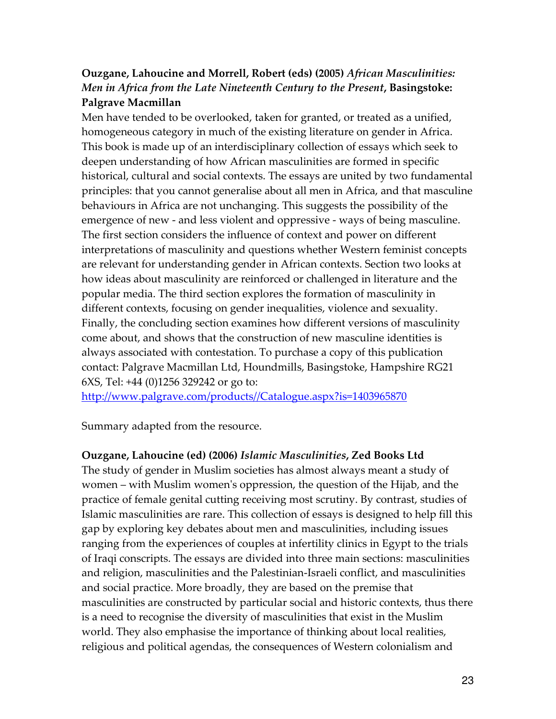## Ouzgane, Lahoucine and Morrell, Robert (eds) (2005) African Masculinities: Men in Africa from the Late Nineteenth Century to the Present, Basingstoke: Palgrave Macmillan

Men have tended to be overlooked, taken for granted, or treated as a unified, homogeneous category in much of the existing literature on gender in Africa. This book is made up of an interdisciplinary collection of essays which seek to deepen understanding of how African masculinities are formed in specific historical, cultural and social contexts. The essays are united by two fundamental principles: that you cannot generalise about all men in Africa, and that masculine behaviours in Africa are not unchanging. This suggests the possibility of the emergence of new - and less violent and oppressive - ways of being masculine. The first section considers the influence of context and power on different interpretations of masculinity and questions whether Western feminist concepts are relevant for understanding gender in African contexts. Section two looks at how ideas about masculinity are reinforced or challenged in literature and the popular media. The third section explores the formation of masculinity in different contexts, focusing on gender inequalities, violence and sexuality. Finally, the concluding section examines how different versions of masculinity come about, and shows that the construction of new masculine identities is always associated with contestation. To purchase a copy of this publication contact: Palgrave Macmillan Ltd, Houndmills, Basingstoke, Hampshire RG21 6XS, Tel: +44 (0)1256 329242 or go to:

http://www.palgrave.com/products//Catalogue.aspx?is=1403965870

Summary adapted from the resource.

#### Ouzgane, Lahoucine (ed) (2006) Islamic Masculinities, Zed Books Ltd

The study of gender in Muslim societies has almost always meant a study of women – with Muslim women's oppression, the question of the Hijab, and the practice of female genital cutting receiving most scrutiny. By contrast, studies of Islamic masculinities are rare. This collection of essays is designed to help fill this gap by exploring key debates about men and masculinities, including issues ranging from the experiences of couples at infertility clinics in Egypt to the trials of Iraqi conscripts. The essays are divided into three main sections: masculinities and religion, masculinities and the Palestinian-Israeli conflict, and masculinities and social practice. More broadly, they are based on the premise that masculinities are constructed by particular social and historic contexts, thus there is a need to recognise the diversity of masculinities that exist in the Muslim world. They also emphasise the importance of thinking about local realities, religious and political agendas, the consequences of Western colonialism and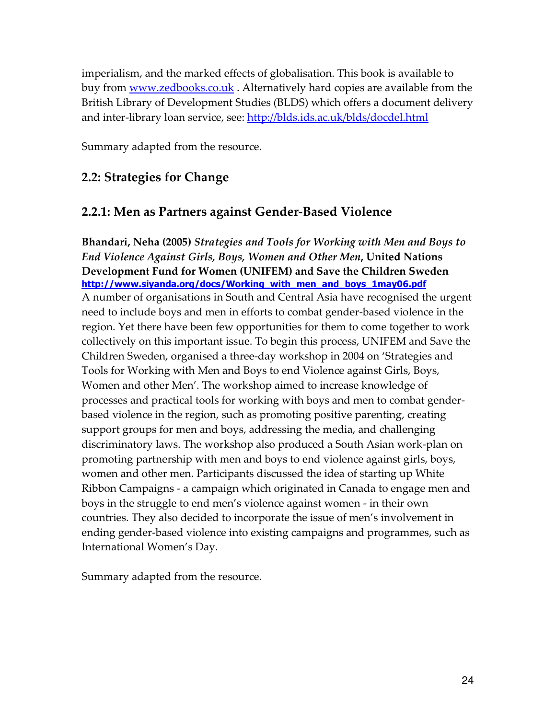imperialism, and the marked effects of globalisation. This book is available to buy from <u>www.zedbooks.co.uk</u>. Alternatively hard copies are available from the British Library of Development Studies (BLDS) which offers a document delivery and inter-library loan service, see: http://blds.ids.ac.uk/blds/docdel.html

Summary adapted from the resource.

## 2.2: Strategies for Change

## 2.2.1: Men as Partners against Gender-Based Violence

Bhandari, Neha (2005) Strategies and Tools for Working with Men and Boys to End Violence Against Girls, Boys, Women and Other Men, United Nations Development Fund for Women (UNIFEM) and Save the Children Sweden http://www.siyanda.org/docs/Working\_with\_men\_and\_boys\_1may06.pdf A number of organisations in South and Central Asia have recognised the urgent need to include boys and men in efforts to combat gender-based violence in the region. Yet there have been few opportunities for them to come together to work collectively on this important issue. To begin this process, UNIFEM and Save the Children Sweden, organised a three-day workshop in 2004 on 'Strategies and Tools for Working with Men and Boys to end Violence against Girls, Boys, Women and other Men'. The workshop aimed to increase knowledge of processes and practical tools for working with boys and men to combat genderbased violence in the region, such as promoting positive parenting, creating support groups for men and boys, addressing the media, and challenging discriminatory laws. The workshop also produced a South Asian work-plan on promoting partnership with men and boys to end violence against girls, boys, women and other men. Participants discussed the idea of starting up White Ribbon Campaigns - a campaign which originated in Canada to engage men and boys in the struggle to end men's violence against women - in their own countries. They also decided to incorporate the issue of men's involvement in ending gender-based violence into existing campaigns and programmes, such as International Women's Day.

Summary adapted from the resource.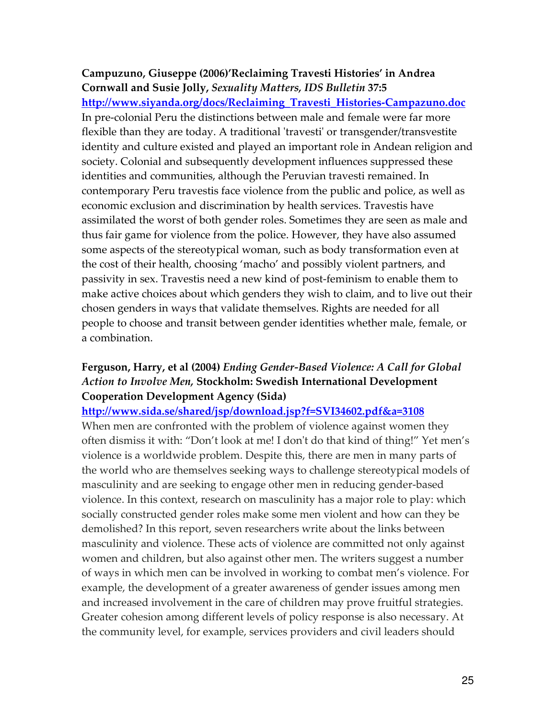#### Campuzuno, Giuseppe (2006)'Reclaiming Travesti Histories' in Andrea Cornwall and Susie Jolly, Sexuality Matters, IDS Bulletin 37:5

http://www.siyanda.org/docs/Reclaiming\_Travesti\_Histories-Campazuno.doc In pre-colonial Peru the distinctions between male and female were far more flexible than they are today. A traditional 'travesti' or transgender/transvestite identity and culture existed and played an important role in Andean religion and society. Colonial and subsequently development influences suppressed these identities and communities, although the Peruvian travesti remained. In contemporary Peru travestis face violence from the public and police, as well as economic exclusion and discrimination by health services. Travestis have assimilated the worst of both gender roles. Sometimes they are seen as male and thus fair game for violence from the police. However, they have also assumed some aspects of the stereotypical woman, such as body transformation even at the cost of their health, choosing 'macho' and possibly violent partners, and passivity in sex. Travestis need a new kind of post-feminism to enable them to make active choices about which genders they wish to claim, and to live out their chosen genders in ways that validate themselves. Rights are needed for all people to choose and transit between gender identities whether male, female, or a combination.

## Ferguson, Harry, et al (2004) Ending Gender-Based Violence: A Call for Global Action to Involve Men, Stockholm: Swedish International Development Cooperation Development Agency (Sida)

#### http://www.sida.se/shared/jsp/download.jsp?f=SVI34602.pdf&a=3108

When men are confronted with the problem of violence against women they often dismiss it with: "Don't look at me! I don't do that kind of thing!" Yet men's violence is a worldwide problem. Despite this, there are men in many parts of the world who are themselves seeking ways to challenge stereotypical models of masculinity and are seeking to engage other men in reducing gender-based violence. In this context, research on masculinity has a major role to play: which socially constructed gender roles make some men violent and how can they be demolished? In this report, seven researchers write about the links between masculinity and violence. These acts of violence are committed not only against women and children, but also against other men. The writers suggest a number of ways in which men can be involved in working to combat men's violence. For example, the development of a greater awareness of gender issues among men and increased involvement in the care of children may prove fruitful strategies. Greater cohesion among different levels of policy response is also necessary. At the community level, for example, services providers and civil leaders should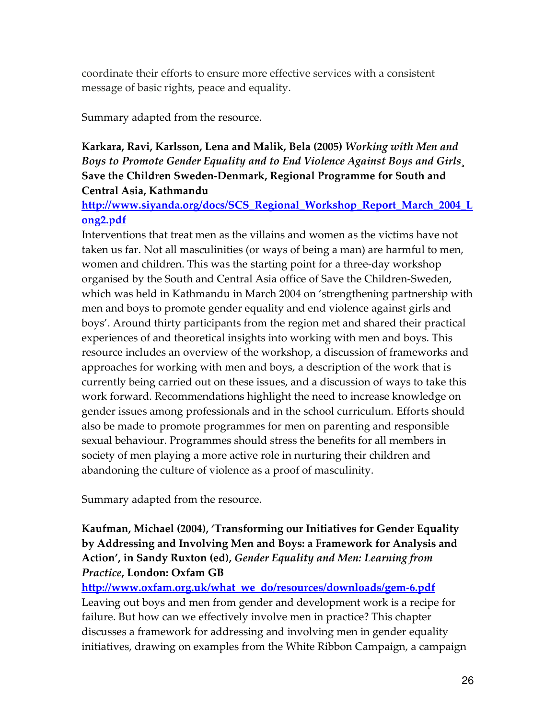coordinate their efforts to ensure more effective services with a consistent message of basic rights, peace and equality.

Summary adapted from the resource.

## Karkara, Ravi, Karlsson, Lena and Malik, Bela (2005) Working with Men and Boys to Promote Gender Equality and to End Violence Against Boys and Girls¸ Save the Children Sweden-Denmark, Regional Programme for South and Central Asia, Kathmandu

http://www.siyanda.org/docs/SCS\_Regional\_Workshop\_Report\_March\_2004\_L ong2.pdf

Interventions that treat men as the villains and women as the victims have not taken us far. Not all masculinities (or ways of being a man) are harmful to men, women and children. This was the starting point for a three-day workshop organised by the South and Central Asia office of Save the Children-Sweden, which was held in Kathmandu in March 2004 on 'strengthening partnership with men and boys to promote gender equality and end violence against girls and boys'. Around thirty participants from the region met and shared their practical experiences of and theoretical insights into working with men and boys. This resource includes an overview of the workshop, a discussion of frameworks and approaches for working with men and boys, a description of the work that is currently being carried out on these issues, and a discussion of ways to take this work forward. Recommendations highlight the need to increase knowledge on gender issues among professionals and in the school curriculum. Efforts should also be made to promote programmes for men on parenting and responsible sexual behaviour. Programmes should stress the benefits for all members in society of men playing a more active role in nurturing their children and abandoning the culture of violence as a proof of masculinity.

Summary adapted from the resource.

## Kaufman, Michael (2004), 'Transforming our Initiatives for Gender Equality by Addressing and Involving Men and Boys: a Framework for Analysis and Action', in Sandy Ruxton (ed), Gender Equality and Men: Learning from Practice, London: Oxfam GB

http://www.oxfam.org.uk/what\_we\_do/resources/downloads/gem-6.pdf Leaving out boys and men from gender and development work is a recipe for failure. But how can we effectively involve men in practice? This chapter discusses a framework for addressing and involving men in gender equality initiatives, drawing on examples from the White Ribbon Campaign, a campaign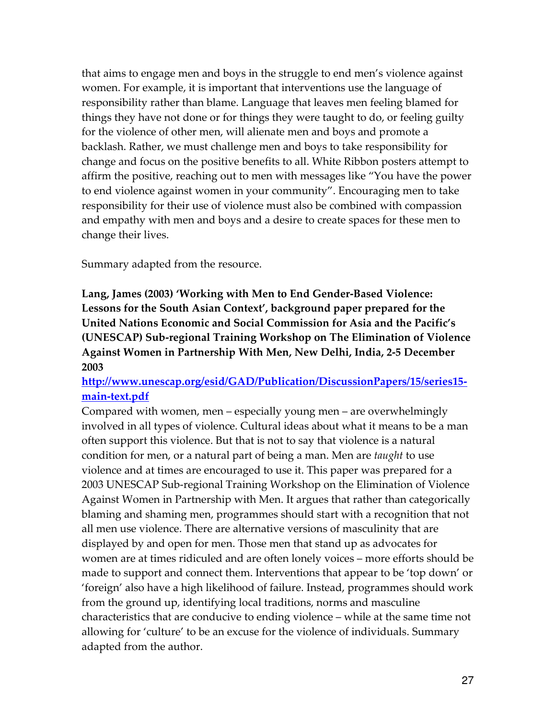that aims to engage men and boys in the struggle to end men's violence against women. For example, it is important that interventions use the language of responsibility rather than blame. Language that leaves men feeling blamed for things they have not done or for things they were taught to do, or feeling guilty for the violence of other men, will alienate men and boys and promote a backlash. Rather, we must challenge men and boys to take responsibility for change and focus on the positive benefits to all. White Ribbon posters attempt to affirm the positive, reaching out to men with messages like "You have the power to end violence against women in your community". Encouraging men to take responsibility for their use of violence must also be combined with compassion and empathy with men and boys and a desire to create spaces for these men to change their lives.

Summary adapted from the resource.

Lang, James (2003) 'Working with Men to End Gender-Based Violence: Lessons for the South Asian Context', background paper prepared for the United Nations Economic and Social Commission for Asia and the Pacific's (UNESCAP) Sub-regional Training Workshop on The Elimination of Violence Against Women in Partnership With Men, New Delhi, India, 2-5 December 2003

#### http://www.unescap.org/esid/GAD/Publication/DiscussionPapers/15/series15 main-text.pdf

Compared with women, men – especially young men – are overwhelmingly involved in all types of violence. Cultural ideas about what it means to be a man often support this violence. But that is not to say that violence is a natural condition for men, or a natural part of being a man. Men are taught to use violence and at times are encouraged to use it. This paper was prepared for a 2003 UNESCAP Sub-regional Training Workshop on the Elimination of Violence Against Women in Partnership with Men. It argues that rather than categorically blaming and shaming men, programmes should start with a recognition that not all men use violence. There are alternative versions of masculinity that are displayed by and open for men. Those men that stand up as advocates for women are at times ridiculed and are often lonely voices – more efforts should be made to support and connect them. Interventions that appear to be 'top down' or 'foreign' also have a high likelihood of failure. Instead, programmes should work from the ground up, identifying local traditions, norms and masculine characteristics that are conducive to ending violence – while at the same time not allowing for 'culture' to be an excuse for the violence of individuals. Summary adapted from the author.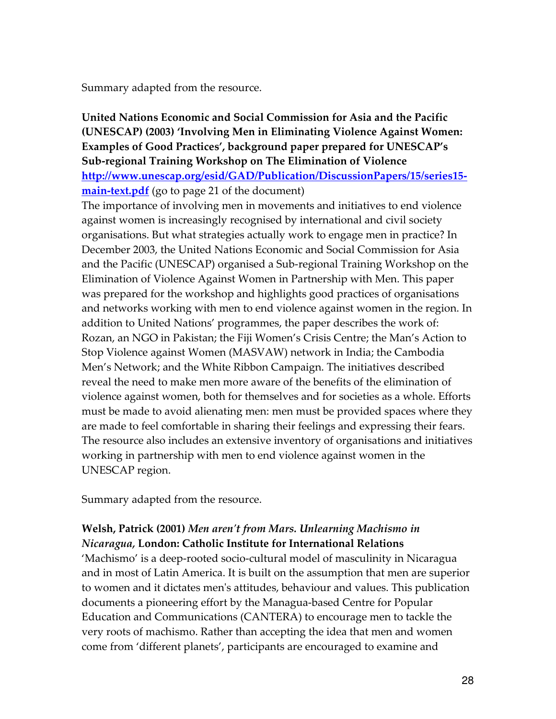Summary adapted from the resource.

## United Nations Economic and Social Commission for Asia and the Pacific (UNESCAP) (2003) 'Involving Men in Eliminating Violence Against Women: Examples of Good Practices', background paper prepared for UNESCAP's Sub-regional Training Workshop on The Elimination of Violence http://www.unescap.org/esid/GAD/Publication/DiscussionPapers/15/series15-

main-text.pdf (go to page 21 of the document)

The importance of involving men in movements and initiatives to end violence against women is increasingly recognised by international and civil society organisations. But what strategies actually work to engage men in practice? In December 2003, the United Nations Economic and Social Commission for Asia and the Pacific (UNESCAP) organised a Sub-regional Training Workshop on the Elimination of Violence Against Women in Partnership with Men. This paper was prepared for the workshop and highlights good practices of organisations and networks working with men to end violence against women in the region. In addition to United Nations' programmes, the paper describes the work of: Rozan, an NGO in Pakistan; the Fiji Women's Crisis Centre; the Man's Action to Stop Violence against Women (MASVAW) network in India; the Cambodia Men's Network; and the White Ribbon Campaign. The initiatives described reveal the need to make men more aware of the benefits of the elimination of violence against women, both for themselves and for societies as a whole. Efforts must be made to avoid alienating men: men must be provided spaces where they are made to feel comfortable in sharing their feelings and expressing their fears. The resource also includes an extensive inventory of organisations and initiatives working in partnership with men to end violence against women in the UNESCAP region.

Summary adapted from the resource.

## Welsh, Patrick (2001) Men aren't from Mars. Unlearning Machismo in Nicaragua, London: Catholic Institute for International Relations

'Machismo' is a deep-rooted socio-cultural model of masculinity in Nicaragua and in most of Latin America. It is built on the assumption that men are superior to women and it dictates men's attitudes, behaviour and values. This publication documents a pioneering effort by the Managua-based Centre for Popular Education and Communications (CANTERA) to encourage men to tackle the very roots of machismo. Rather than accepting the idea that men and women come from 'different planets', participants are encouraged to examine and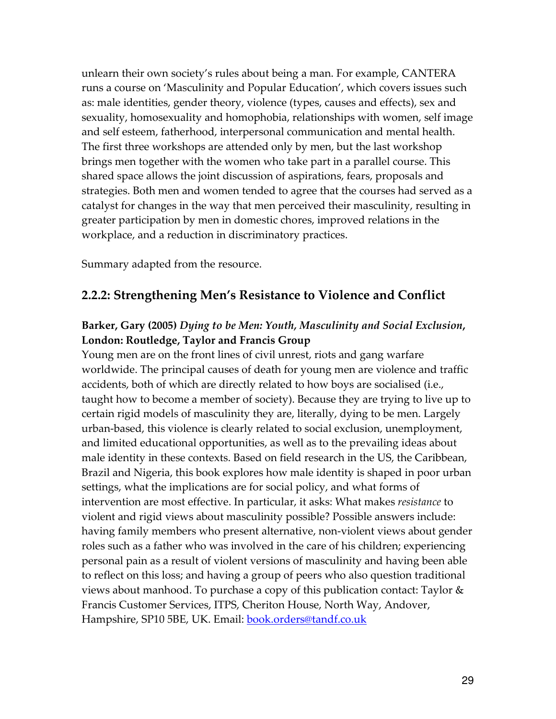unlearn their own society's rules about being a man. For example, CANTERA runs a course on 'Masculinity and Popular Education', which covers issues such as: male identities, gender theory, violence (types, causes and effects), sex and sexuality, homosexuality and homophobia, relationships with women, self image and self esteem, fatherhood, interpersonal communication and mental health. The first three workshops are attended only by men, but the last workshop brings men together with the women who take part in a parallel course. This shared space allows the joint discussion of aspirations, fears, proposals and strategies. Both men and women tended to agree that the courses had served as a catalyst for changes in the way that men perceived their masculinity, resulting in greater participation by men in domestic chores, improved relations in the workplace, and a reduction in discriminatory practices.

Summary adapted from the resource.

## 2.2.2: Strengthening Men's Resistance to Violence and Conflict

## Barker, Gary (2005) Dying to be Men: Youth, Masculinity and Social Exclusion, London: Routledge, Taylor and Francis Group

Young men are on the front lines of civil unrest, riots and gang warfare worldwide. The principal causes of death for young men are violence and traffic accidents, both of which are directly related to how boys are socialised (i.e., taught how to become a member of society). Because they are trying to live up to certain rigid models of masculinity they are, literally, dying to be men. Largely urban-based, this violence is clearly related to social exclusion, unemployment, and limited educational opportunities, as well as to the prevailing ideas about male identity in these contexts. Based on field research in the US, the Caribbean, Brazil and Nigeria, this book explores how male identity is shaped in poor urban settings, what the implications are for social policy, and what forms of intervention are most effective. In particular, it asks: What makes resistance to violent and rigid views about masculinity possible? Possible answers include: having family members who present alternative, non-violent views about gender roles such as a father who was involved in the care of his children; experiencing personal pain as a result of violent versions of masculinity and having been able to reflect on this loss; and having a group of peers who also question traditional views about manhood. To purchase a copy of this publication contact: Taylor & Francis Customer Services, ITPS, Cheriton House, North Way, Andover, Hampshire, SP10 5BE, UK. Email: **book.orders@tandf.co.uk**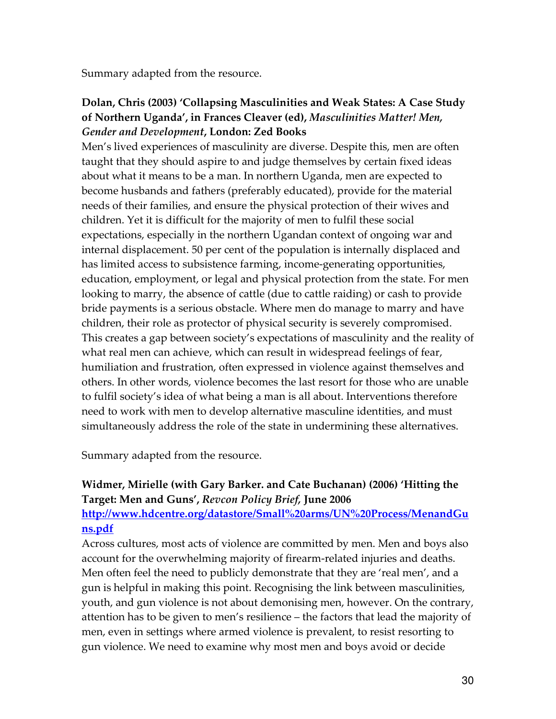Summary adapted from the resource.

## Dolan, Chris (2003) 'Collapsing Masculinities and Weak States: A Case Study of Northern Uganda', in Frances Cleaver (ed), Masculinities Matter! Men, Gender and Development, London: Zed Books

Men's lived experiences of masculinity are diverse. Despite this, men are often taught that they should aspire to and judge themselves by certain fixed ideas about what it means to be a man. In northern Uganda, men are expected to become husbands and fathers (preferably educated), provide for the material needs of their families, and ensure the physical protection of their wives and children. Yet it is difficult for the majority of men to fulfil these social expectations, especially in the northern Ugandan context of ongoing war and internal displacement. 50 per cent of the population is internally displaced and has limited access to subsistence farming, income-generating opportunities, education, employment, or legal and physical protection from the state. For men looking to marry, the absence of cattle (due to cattle raiding) or cash to provide bride payments is a serious obstacle. Where men do manage to marry and have children, their role as protector of physical security is severely compromised. This creates a gap between society's expectations of masculinity and the reality of what real men can achieve, which can result in widespread feelings of fear, humiliation and frustration, often expressed in violence against themselves and others. In other words, violence becomes the last resort for those who are unable to fulfil society's idea of what being a man is all about. Interventions therefore need to work with men to develop alternative masculine identities, and must simultaneously address the role of the state in undermining these alternatives.

Summary adapted from the resource.

## Widmer, Mirielle (with Gary Barker. and Cate Buchanan) (2006) 'Hitting the Target: Men and Guns', Revcon Policy Brief, June 2006 http://www.hdcentre.org/datastore/Small%20arms/UN%20Process/MenandGu

ns.pdf

Across cultures, most acts of violence are committed by men. Men and boys also account for the overwhelming majority of firearm-related injuries and deaths. Men often feel the need to publicly demonstrate that they are 'real men', and a gun is helpful in making this point. Recognising the link between masculinities, youth, and gun violence is not about demonising men, however. On the contrary, attention has to be given to men's resilience – the factors that lead the majority of men, even in settings where armed violence is prevalent, to resist resorting to gun violence. We need to examine why most men and boys avoid or decide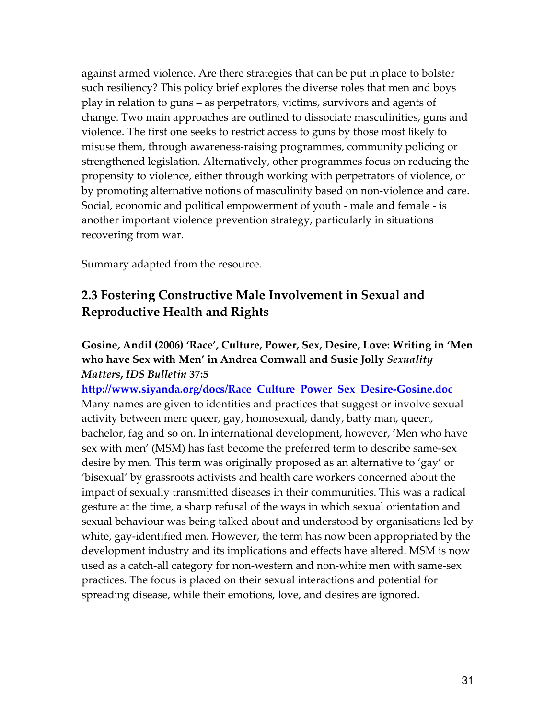against armed violence. Are there strategies that can be put in place to bolster such resiliency? This policy brief explores the diverse roles that men and boys play in relation to guns – as perpetrators, victims, survivors and agents of change. Two main approaches are outlined to dissociate masculinities, guns and violence. The first one seeks to restrict access to guns by those most likely to misuse them, through awareness-raising programmes, community policing or strengthened legislation. Alternatively, other programmes focus on reducing the propensity to violence, either through working with perpetrators of violence, or by promoting alternative notions of masculinity based on non-violence and care. Social, economic and political empowerment of youth - male and female - is another important violence prevention strategy, particularly in situations recovering from war.

Summary adapted from the resource.

## 2.3 Fostering Constructive Male Involvement in Sexual and Reproductive Health and Rights

## Gosine, Andil (2006) 'Race', Culture, Power, Sex, Desire, Love: Writing in 'Men who have Sex with Men' in Andrea Cornwall and Susie Jolly Sexuality Matters, IDS Bulletin 37:5

http://www.siyanda.org/docs/Race Culture Power Sex Desire-Gosine.doc Many names are given to identities and practices that suggest or involve sexual activity between men: queer, gay, homosexual, dandy, batty man, queen, bachelor, fag and so on. In international development, however, 'Men who have sex with men' (MSM) has fast become the preferred term to describe same-sex desire by men. This term was originally proposed as an alternative to 'gay' or 'bisexual' by grassroots activists and health care workers concerned about the impact of sexually transmitted diseases in their communities. This was a radical gesture at the time, a sharp refusal of the ways in which sexual orientation and sexual behaviour was being talked about and understood by organisations led by white, gay-identified men. However, the term has now been appropriated by the development industry and its implications and effects have altered. MSM is now used as a catch-all category for non-western and non-white men with same-sex practices. The focus is placed on their sexual interactions and potential for spreading disease, while their emotions, love, and desires are ignored.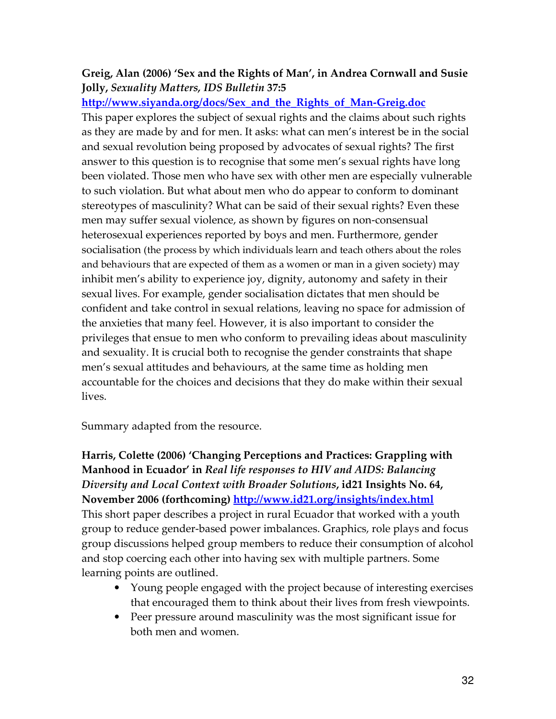## Greig, Alan (2006) 'Sex and the Rights of Man', in Andrea Cornwall and Susie Jolly, Sexuality Matters, IDS Bulletin 37:5

#### http://www.siyanda.org/docs/Sex\_and\_the\_Rights\_of\_Man-Greig.doc

This paper explores the subject of sexual rights and the claims about such rights as they are made by and for men. It asks: what can men's interest be in the social and sexual revolution being proposed by advocates of sexual rights? The first answer to this question is to recognise that some men's sexual rights have long been violated. Those men who have sex with other men are especially vulnerable to such violation. But what about men who do appear to conform to dominant stereotypes of masculinity? What can be said of their sexual rights? Even these men may suffer sexual violence, as shown by figures on non-consensual heterosexual experiences reported by boys and men. Furthermore, gender socialisation (the process by which individuals learn and teach others about the roles and behaviours that are expected of them as a women or man in a given society) may inhibit men's ability to experience joy, dignity, autonomy and safety in their sexual lives. For example, gender socialisation dictates that men should be confident and take control in sexual relations, leaving no space for admission of the anxieties that many feel. However, it is also important to consider the privileges that ensue to men who conform to prevailing ideas about masculinity and sexuality. It is crucial both to recognise the gender constraints that shape men's sexual attitudes and behaviours, at the same time as holding men accountable for the choices and decisions that they do make within their sexual lives.

Summary adapted from the resource.

Harris, Colette (2006) 'Changing Perceptions and Practices: Grappling with Manhood in Ecuador' in Real life responses to HIV and AIDS: Balancing Diversity and Local Context with Broader Solutions, id21 Insights No. 64, November 2006 (forthcoming) http://www.id21.org/insights/index.html This short paper describes a project in rural Ecuador that worked with a youth group to reduce gender-based power imbalances. Graphics, role plays and focus group discussions helped group members to reduce their consumption of alcohol and stop coercing each other into having sex with multiple partners. Some learning points are outlined.

- Young people engaged with the project because of interesting exercises that encouraged them to think about their lives from fresh viewpoints.
- Peer pressure around masculinity was the most significant issue for both men and women.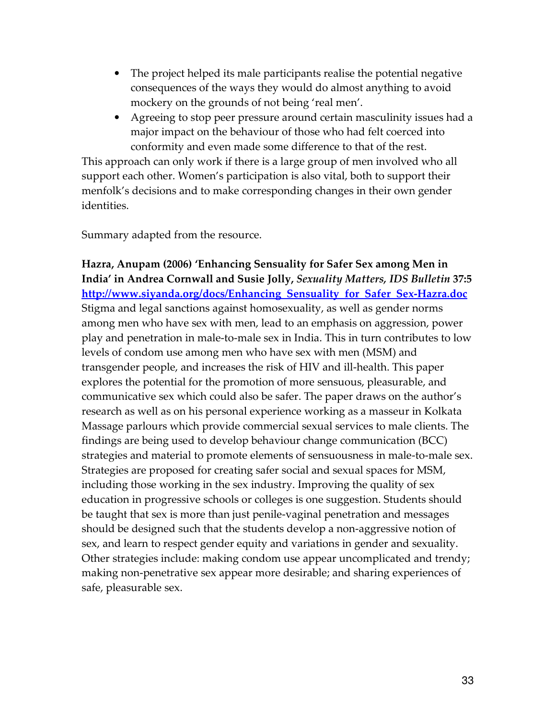- The project helped its male participants realise the potential negative consequences of the ways they would do almost anything to avoid mockery on the grounds of not being 'real men'.
- Agreeing to stop peer pressure around certain masculinity issues had a major impact on the behaviour of those who had felt coerced into conformity and even made some difference to that of the rest.

This approach can only work if there is a large group of men involved who all support each other. Women's participation is also vital, both to support their menfolk's decisions and to make corresponding changes in their own gender identities.

Summary adapted from the resource.

Hazra, Anupam (2006) 'Enhancing Sensuality for Safer Sex among Men in India' in Andrea Cornwall and Susie Jolly, Sexuality Matters, IDS Bulletin 37:5 http://www.siyanda.org/docs/Enhancing Sensuality for Safer Sex-Hazra.doc Stigma and legal sanctions against homosexuality, as well as gender norms among men who have sex with men, lead to an emphasis on aggression, power play and penetration in male-to-male sex in India. This in turn contributes to low levels of condom use among men who have sex with men (MSM) and transgender people, and increases the risk of HIV and ill-health. This paper explores the potential for the promotion of more sensuous, pleasurable, and communicative sex which could also be safer. The paper draws on the author's research as well as on his personal experience working as a masseur in Kolkata Massage parlours which provide commercial sexual services to male clients. The findings are being used to develop behaviour change communication (BCC) strategies and material to promote elements of sensuousness in male-to-male sex. Strategies are proposed for creating safer social and sexual spaces for MSM, including those working in the sex industry. Improving the quality of sex education in progressive schools or colleges is one suggestion. Students should be taught that sex is more than just penile-vaginal penetration and messages should be designed such that the students develop a non-aggressive notion of sex, and learn to respect gender equity and variations in gender and sexuality. Other strategies include: making condom use appear uncomplicated and trendy; making non-penetrative sex appear more desirable; and sharing experiences of safe, pleasurable sex.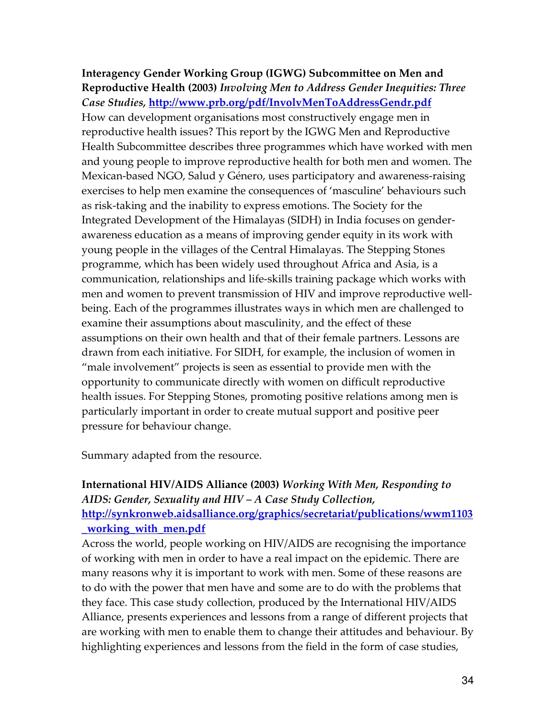Interagency Gender Working Group (IGWG) Subcommittee on Men and Reproductive Health (2003) Involving Men to Address Gender Inequities: Three Case Studies, http://www.prb.org/pdf/InvolvMenToAddressGendr.pdf How can development organisations most constructively engage men in reproductive health issues? This report by the IGWG Men and Reproductive Health Subcommittee describes three programmes which have worked with men and young people to improve reproductive health for both men and women. The Mexican-based NGO, Salud y Género, uses participatory and awareness-raising exercises to help men examine the consequences of 'masculine' behaviours such as risk-taking and the inability to express emotions. The Society for the Integrated Development of the Himalayas (SIDH) in India focuses on genderawareness education as a means of improving gender equity in its work with young people in the villages of the Central Himalayas. The Stepping Stones programme, which has been widely used throughout Africa and Asia, is a communication, relationships and life-skills training package which works with men and women to prevent transmission of HIV and improve reproductive wellbeing. Each of the programmes illustrates ways in which men are challenged to examine their assumptions about masculinity, and the effect of these assumptions on their own health and that of their female partners. Lessons are drawn from each initiative. For SIDH, for example, the inclusion of women in "male involvement" projects is seen as essential to provide men with the opportunity to communicate directly with women on difficult reproductive health issues. For Stepping Stones, promoting positive relations among men is particularly important in order to create mutual support and positive peer pressure for behaviour change.

Summary adapted from the resource.

## International HIV/AIDS Alliance (2003) Working With Men, Responding to AIDS: Gender, Sexuality and HIV – A Case Study Collection, http://synkronweb.aidsalliance.org/graphics/secretariat/publications/wwm1103 \_working\_with\_men.pdf

Across the world, people working on HIV/AIDS are recognising the importance of working with men in order to have a real impact on the epidemic. There are many reasons why it is important to work with men. Some of these reasons are to do with the power that men have and some are to do with the problems that they face. This case study collection, produced by the International HIV/AIDS Alliance, presents experiences and lessons from a range of different projects that are working with men to enable them to change their attitudes and behaviour. By highlighting experiences and lessons from the field in the form of case studies,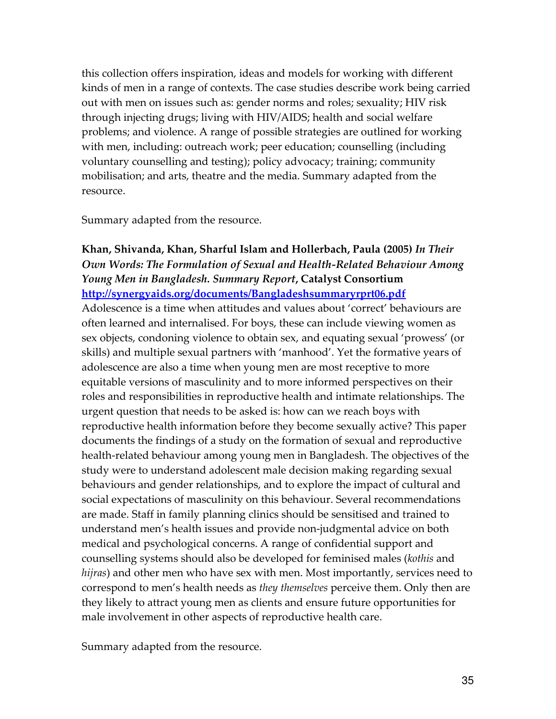this collection offers inspiration, ideas and models for working with different kinds of men in a range of contexts. The case studies describe work being carried out with men on issues such as: gender norms and roles; sexuality; HIV risk through injecting drugs; living with HIV/AIDS; health and social welfare problems; and violence. A range of possible strategies are outlined for working with men, including: outreach work; peer education; counselling (including voluntary counselling and testing); policy advocacy; training; community mobilisation; and arts, theatre and the media. Summary adapted from the resource.

Summary adapted from the resource.

#### Khan, Shivanda, Khan, Sharful Islam and Hollerbach, Paula (2005) In Their Own Words: The Formulation of Sexual and Health-Related Behaviour Among Young Men in Bangladesh. Summary Report, Catalyst Consortium http://synergyaids.org/documents/Bangladeshsummaryrprt06.pdf

Adolescence is a time when attitudes and values about 'correct' behaviours are often learned and internalised. For boys, these can include viewing women as sex objects, condoning violence to obtain sex, and equating sexual 'prowess' (or skills) and multiple sexual partners with 'manhood'. Yet the formative years of adolescence are also a time when young men are most receptive to more equitable versions of masculinity and to more informed perspectives on their roles and responsibilities in reproductive health and intimate relationships. The urgent question that needs to be asked is: how can we reach boys with reproductive health information before they become sexually active? This paper documents the findings of a study on the formation of sexual and reproductive health-related behaviour among young men in Bangladesh. The objectives of the study were to understand adolescent male decision making regarding sexual behaviours and gender relationships, and to explore the impact of cultural and social expectations of masculinity on this behaviour. Several recommendations are made. Staff in family planning clinics should be sensitised and trained to understand men's health issues and provide non-judgmental advice on both medical and psychological concerns. A range of confidential support and counselling systems should also be developed for feminised males (kothis and hijras) and other men who have sex with men. Most importantly, services need to correspond to men's health needs as they themselves perceive them. Only then are they likely to attract young men as clients and ensure future opportunities for male involvement in other aspects of reproductive health care.

Summary adapted from the resource.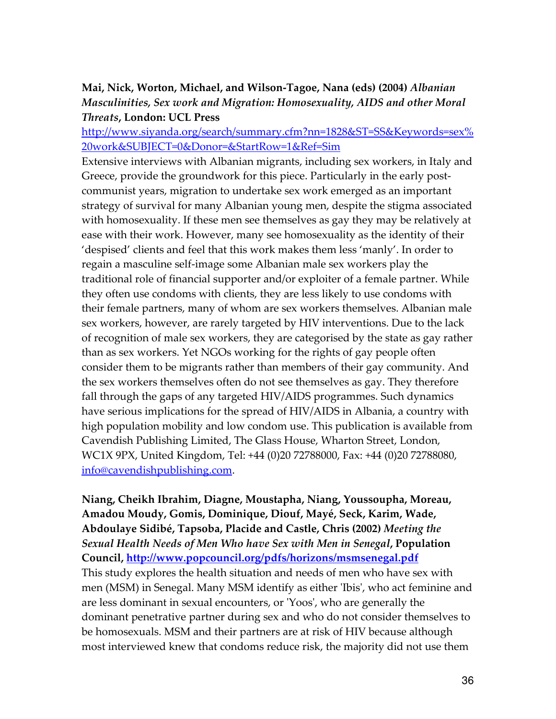#### Mai, Nick, Worton, Michael, and Wilson-Tagoe, Nana (eds) (2004) Albanian Masculinities, Sex work and Migration: Homosexuality, AIDS and other Moral Threats, London: UCL Press

http://www.siyanda.org/search/summary.cfm?nn=1828&ST=SS&Keywords=sex% 20work&SUBJECT=0&Donor=&StartRow=1&Ref=Sim

Extensive interviews with Albanian migrants, including sex workers, in Italy and Greece, provide the groundwork for this piece. Particularly in the early postcommunist years, migration to undertake sex work emerged as an important strategy of survival for many Albanian young men, despite the stigma associated with homosexuality. If these men see themselves as gay they may be relatively at ease with their work. However, many see homosexuality as the identity of their 'despised' clients and feel that this work makes them less 'manly'. In order to regain a masculine self-image some Albanian male sex workers play the traditional role of financial supporter and/or exploiter of a female partner. While they often use condoms with clients, they are less likely to use condoms with their female partners, many of whom are sex workers themselves. Albanian male sex workers, however, are rarely targeted by HIV interventions. Due to the lack of recognition of male sex workers, they are categorised by the state as gay rather than as sex workers. Yet NGOs working for the rights of gay people often consider them to be migrants rather than members of their gay community. And the sex workers themselves often do not see themselves as gay. They therefore fall through the gaps of any targeted HIV/AIDS programmes. Such dynamics have serious implications for the spread of HIV/AIDS in Albania, a country with high population mobility and low condom use. This publication is available from Cavendish Publishing Limited, The Glass House, Wharton Street, London, WC1X 9PX, United Kingdom, Tel: +44 (0)20 72788000, Fax: +44 (0)20 72788080, info@cavendishpublishing.com.

Niang, Cheikh Ibrahim, Diagne, Moustapha, Niang, Youssoupha, Moreau, Amadou Moudy, Gomis, Dominique, Diouf, Mayé, Seck, Karim, Wade, Abdoulaye Sidibé, Tapsoba, Placide and Castle, Chris (2002) Meeting the Sexual Health Needs of Men Who have Sex with Men in Senegal, Population Council, http://www.popcouncil.org/pdfs/horizons/msmsenegal.pdf This study explores the health situation and needs of men who have sex with men (MSM) in Senegal. Many MSM identify as either 'Ibis', who act feminine and are less dominant in sexual encounters, or 'Yoos', who are generally the dominant penetrative partner during sex and who do not consider themselves to be homosexuals. MSM and their partners are at risk of HIV because although most interviewed knew that condoms reduce risk, the majority did not use them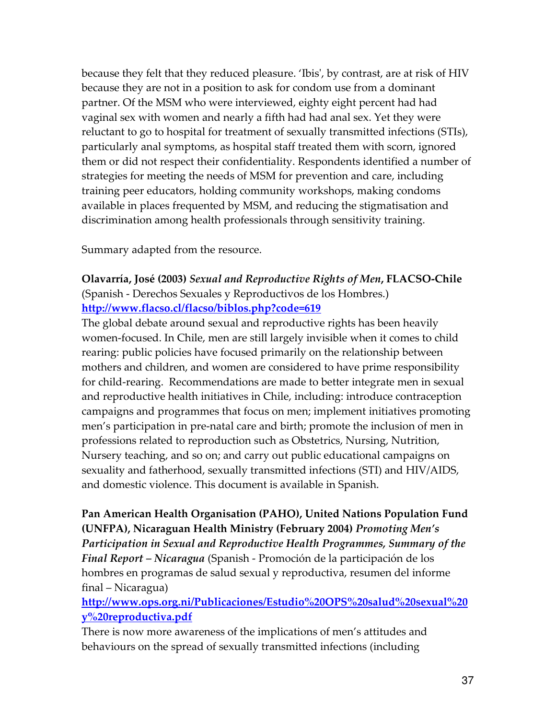because they felt that they reduced pleasure. 'Ibis', by contrast, are at risk of HIV because they are not in a position to ask for condom use from a dominant partner. Of the MSM who were interviewed, eighty eight percent had had vaginal sex with women and nearly a fifth had had anal sex. Yet they were reluctant to go to hospital for treatment of sexually transmitted infections (STIs), particularly anal symptoms, as hospital staff treated them with scorn, ignored them or did not respect their confidentiality. Respondents identified a number of strategies for meeting the needs of MSM for prevention and care, including training peer educators, holding community workshops, making condoms available in places frequented by MSM, and reducing the stigmatisation and discrimination among health professionals through sensitivity training.

Summary adapted from the resource.

#### Olavarría, José (2003) Sexual and Reproductive Rights of Men, FLACSO-Chile (Spanish - Derechos Sexuales y Reproductivos de los Hombres.) http://www.flacso.cl/flacso/biblos.php?code=619

The global debate around sexual and reproductive rights has been heavily women-focused. In Chile, men are still largely invisible when it comes to child rearing: public policies have focused primarily on the relationship between mothers and children, and women are considered to have prime responsibility for child-rearing. Recommendations are made to better integrate men in sexual and reproductive health initiatives in Chile, including: introduce contraception campaigns and programmes that focus on men; implement initiatives promoting men's participation in pre-natal care and birth; promote the inclusion of men in professions related to reproduction such as Obstetrics, Nursing, Nutrition, Nursery teaching, and so on; and carry out public educational campaigns on sexuality and fatherhood, sexually transmitted infections (STI) and HIV/AIDS, and domestic violence. This document is available in Spanish.

Pan American Health Organisation (PAHO), United Nations Population Fund (UNFPA), Nicaraguan Health Ministry (February 2004) Promoting Men's Participation in Sexual and Reproductive Health Programmes, Summary of the Final Report – Nicaragua (Spanish - Promoción de la participación de los hombres en programas de salud sexual y reproductiva, resumen del informe final – Nicaragua)

http://www.ops.org.ni/Publicaciones/Estudio%20OPS%20salud%20sexual%20 y%20reproductiva.pdf

There is now more awareness of the implications of men's attitudes and behaviours on the spread of sexually transmitted infections (including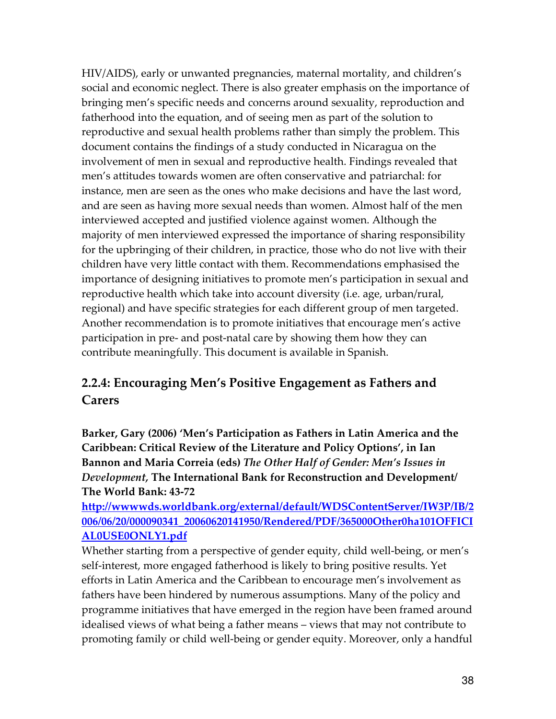HIV/AIDS), early or unwanted pregnancies, maternal mortality, and children's social and economic neglect. There is also greater emphasis on the importance of bringing men's specific needs and concerns around sexuality, reproduction and fatherhood into the equation, and of seeing men as part of the solution to reproductive and sexual health problems rather than simply the problem. This document contains the findings of a study conducted in Nicaragua on the involvement of men in sexual and reproductive health. Findings revealed that men's attitudes towards women are often conservative and patriarchal: for instance, men are seen as the ones who make decisions and have the last word, and are seen as having more sexual needs than women. Almost half of the men interviewed accepted and justified violence against women. Although the majority of men interviewed expressed the importance of sharing responsibility for the upbringing of their children, in practice, those who do not live with their children have very little contact with them. Recommendations emphasised the importance of designing initiatives to promote men's participation in sexual and reproductive health which take into account diversity (i.e. age, urban/rural, regional) and have specific strategies for each different group of men targeted. Another recommendation is to promote initiatives that encourage men's active participation in pre- and post-natal care by showing them how they can contribute meaningfully. This document is available in Spanish.

## 2.2.4: Encouraging Men's Positive Engagement as Fathers and Carers

Barker, Gary (2006) 'Men's Participation as Fathers in Latin America and the Caribbean: Critical Review of the Literature and Policy Options', in Ian Bannon and Maria Correia (eds) The Other Half of Gender: Men's Issues in Development, The International Bank for Reconstruction and Development/ The World Bank: 43-72

http://wwwwds.worldbank.org/external/default/WDSContentServer/IW3P/IB/2 006/06/20/000090341\_20060620141950/Rendered/PDF/365000Other0ha101OFFICI AL0USE0ONLY1.pdf

Whether starting from a perspective of gender equity, child well-being, or men's self-interest, more engaged fatherhood is likely to bring positive results. Yet efforts in Latin America and the Caribbean to encourage men's involvement as fathers have been hindered by numerous assumptions. Many of the policy and programme initiatives that have emerged in the region have been framed around idealised views of what being a father means – views that may not contribute to promoting family or child well-being or gender equity. Moreover, only a handful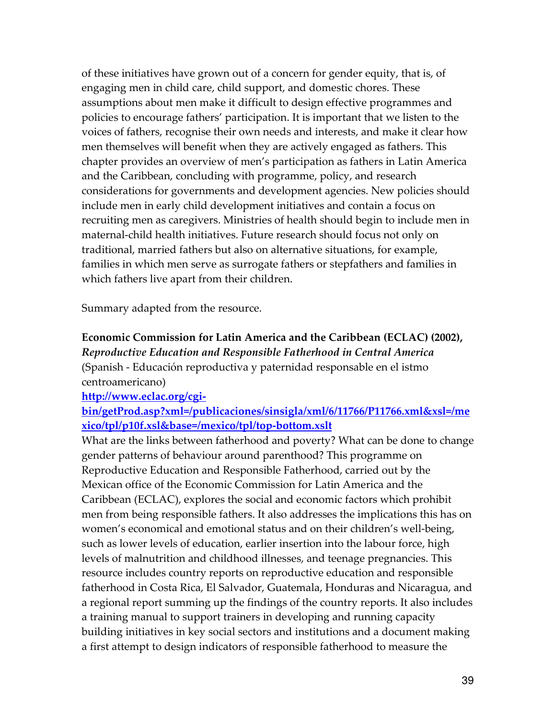of these initiatives have grown out of a concern for gender equity, that is, of engaging men in child care, child support, and domestic chores. These assumptions about men make it difficult to design effective programmes and policies to encourage fathers' participation. It is important that we listen to the voices of fathers, recognise their own needs and interests, and make it clear how men themselves will benefit when they are actively engaged as fathers. This chapter provides an overview of men's participation as fathers in Latin America and the Caribbean, concluding with programme, policy, and research considerations for governments and development agencies. New policies should include men in early child development initiatives and contain a focus on recruiting men as caregivers. Ministries of health should begin to include men in maternal-child health initiatives. Future research should focus not only on traditional, married fathers but also on alternative situations, for example, families in which men serve as surrogate fathers or stepfathers and families in which fathers live apart from their children.

Summary adapted from the resource.

## Economic Commission for Latin America and the Caribbean (ECLAC) (2002), Reproductive Education and Responsible Fatherhood in Central America (Spanish - Educación reproductiva y paternidad responsable en el istmo centroamericano)

http://www.eclac.org/cgi-

## bin/getProd.asp?xml=/publicaciones/sinsigla/xml/6/11766/P11766.xml&xsl=/me xico/tpl/p10f.xsl&base=/mexico/tpl/top-bottom.xslt

What are the links between fatherhood and poverty? What can be done to change gender patterns of behaviour around parenthood? This programme on Reproductive Education and Responsible Fatherhood, carried out by the Mexican office of the Economic Commission for Latin America and the Caribbean (ECLAC), explores the social and economic factors which prohibit men from being responsible fathers. It also addresses the implications this has on women's economical and emotional status and on their children's well-being, such as lower levels of education, earlier insertion into the labour force, high levels of malnutrition and childhood illnesses, and teenage pregnancies. This resource includes country reports on reproductive education and responsible fatherhood in Costa Rica, El Salvador, Guatemala, Honduras and Nicaragua, and a regional report summing up the findings of the country reports. It also includes a training manual to support trainers in developing and running capacity building initiatives in key social sectors and institutions and a document making a first attempt to design indicators of responsible fatherhood to measure the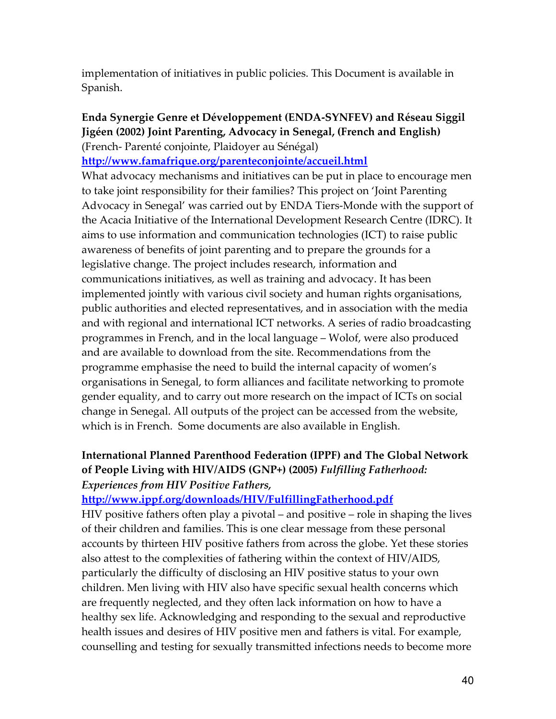implementation of initiatives in public policies. This Document is available in Spanish.

### Enda Synergie Genre et Développement (ENDA-SYNFEV) and Réseau Siggil Jigéen (2002) Joint Parenting, Advocacy in Senegal, (French and English) (French- Parenté conjointe, Plaidoyer au Sénégal)

http://www.famafrique.org/parenteconjointe/accueil.html

What advocacy mechanisms and initiatives can be put in place to encourage men to take joint responsibility for their families? This project on 'Joint Parenting Advocacy in Senegal' was carried out by ENDA Tiers-Monde with the support of the Acacia Initiative of the International Development Research Centre (IDRC). It aims to use information and communication technologies (ICT) to raise public awareness of benefits of joint parenting and to prepare the grounds for a legislative change. The project includes research, information and communications initiatives, as well as training and advocacy. It has been implemented jointly with various civil society and human rights organisations, public authorities and elected representatives, and in association with the media and with regional and international ICT networks. A series of radio broadcasting programmes in French, and in the local language – Wolof, were also produced and are available to download from the site. Recommendations from the programme emphasise the need to build the internal capacity of women's organisations in Senegal, to form alliances and facilitate networking to promote gender equality, and to carry out more research on the impact of ICTs on social change in Senegal. All outputs of the project can be accessed from the website, which is in French. Some documents are also available in English.

## International Planned Parenthood Federation (IPPF) and The Global Network of People Living with HIV/AIDS (GNP+) (2005) Fulfilling Fatherhood: Experiences from HIV Positive Fathers,

#### http://www.ippf.org/downloads/HIV/FulfillingFatherhood.pdf

HIV positive fathers often play a pivotal – and positive – role in shaping the lives of their children and families. This is one clear message from these personal accounts by thirteen HIV positive fathers from across the globe. Yet these stories also attest to the complexities of fathering within the context of HIV/AIDS, particularly the difficulty of disclosing an HIV positive status to your own children. Men living with HIV also have specific sexual health concerns which are frequently neglected, and they often lack information on how to have a healthy sex life. Acknowledging and responding to the sexual and reproductive health issues and desires of HIV positive men and fathers is vital. For example, counselling and testing for sexually transmitted infections needs to become more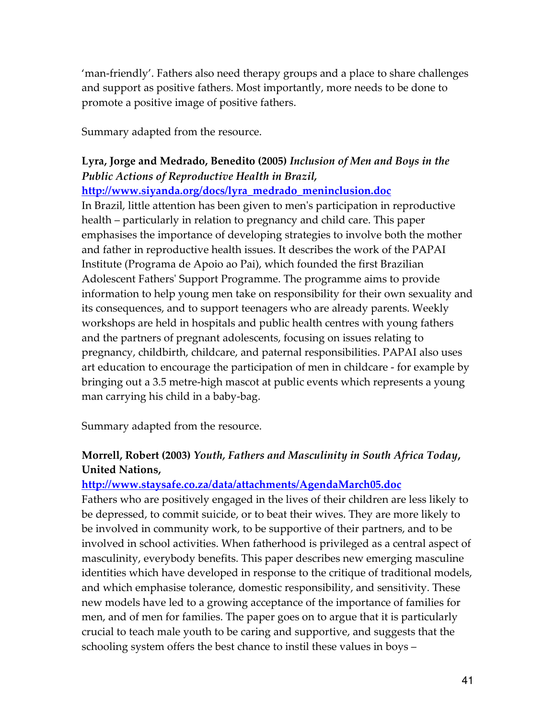'man-friendly'. Fathers also need therapy groups and a place to share challenges and support as positive fathers. Most importantly, more needs to be done to promote a positive image of positive fathers.

Summary adapted from the resource.

## Lyra, Jorge and Medrado, Benedito (2005) Inclusion of Men and Boys in the Public Actions of Reproductive Health in Brazil,

http://www.siyanda.org/docs/lyra\_medrado\_meninclusion.doc

In Brazil, little attention has been given to men's participation in reproductive health – particularly in relation to pregnancy and child care. This paper emphasises the importance of developing strategies to involve both the mother and father in reproductive health issues. It describes the work of the PAPAI Institute (Programa de Apoio ao Pai), which founded the first Brazilian Adolescent Fathers' Support Programme. The programme aims to provide information to help young men take on responsibility for their own sexuality and its consequences, and to support teenagers who are already parents. Weekly workshops are held in hospitals and public health centres with young fathers and the partners of pregnant adolescents, focusing on issues relating to pregnancy, childbirth, childcare, and paternal responsibilities. PAPAI also uses art education to encourage the participation of men in childcare - for example by bringing out a 3.5 metre-high mascot at public events which represents a young man carrying his child in a baby-bag.

Summary adapted from the resource.

## Morrell, Robert (2003) Youth, Fathers and Masculinity in South Africa Today, United Nations,

#### http://www.staysafe.co.za/data/attachments/AgendaMarch05.doc

Fathers who are positively engaged in the lives of their children are less likely to be depressed, to commit suicide, or to beat their wives. They are more likely to be involved in community work, to be supportive of their partners, and to be involved in school activities. When fatherhood is privileged as a central aspect of masculinity, everybody benefits. This paper describes new emerging masculine identities which have developed in response to the critique of traditional models, and which emphasise tolerance, domestic responsibility, and sensitivity. These new models have led to a growing acceptance of the importance of families for men, and of men for families. The paper goes on to argue that it is particularly crucial to teach male youth to be caring and supportive, and suggests that the schooling system offers the best chance to instil these values in boys –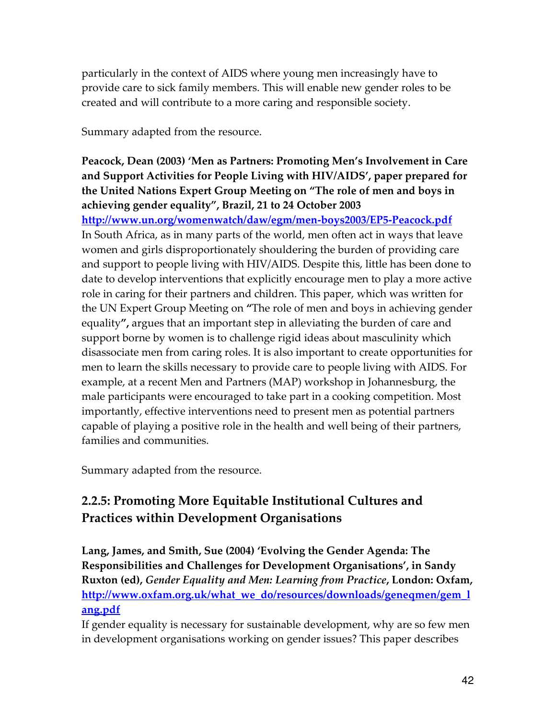particularly in the context of AIDS where young men increasingly have to provide care to sick family members. This will enable new gender roles to be created and will contribute to a more caring and responsible society.

Summary adapted from the resource.

## Peacock, Dean (2003) 'Men as Partners: Promoting Men's Involvement in Care and Support Activities for People Living with HIV/AIDS', paper prepared for the United Nations Expert Group Meeting on "The role of men and boys in achieving gender equality", Brazil, 21 to 24 October 2003

http://www.un.org/womenwatch/daw/egm/men-boys2003/EP5-Peacock.pdf In South Africa, as in many parts of the world, men often act in ways that leave women and girls disproportionately shouldering the burden of providing care and support to people living with HIV/AIDS. Despite this, little has been done to date to develop interventions that explicitly encourage men to play a more active role in caring for their partners and children. This paper, which was written for the UN Expert Group Meeting on "The role of men and boys in achieving gender equality", argues that an important step in alleviating the burden of care and support borne by women is to challenge rigid ideas about masculinity which disassociate men from caring roles. It is also important to create opportunities for men to learn the skills necessary to provide care to people living with AIDS. For example, at a recent Men and Partners (MAP) workshop in Johannesburg, the male participants were encouraged to take part in a cooking competition. Most importantly, effective interventions need to present men as potential partners capable of playing a positive role in the health and well being of their partners, families and communities.

Summary adapted from the resource.

## 2.2.5: Promoting More Equitable Institutional Cultures and Practices within Development Organisations

Lang, James, and Smith, Sue (2004) 'Evolving the Gender Agenda: The Responsibilities and Challenges for Development Organisations', in Sandy Ruxton (ed), Gender Equality and Men: Learning from Practice, London: Oxfam, http://www.oxfam.org.uk/what\_we\_do/resources/downloads/geneqmen/gem\_l ang.pdf

If gender equality is necessary for sustainable development, why are so few men in development organisations working on gender issues? This paper describes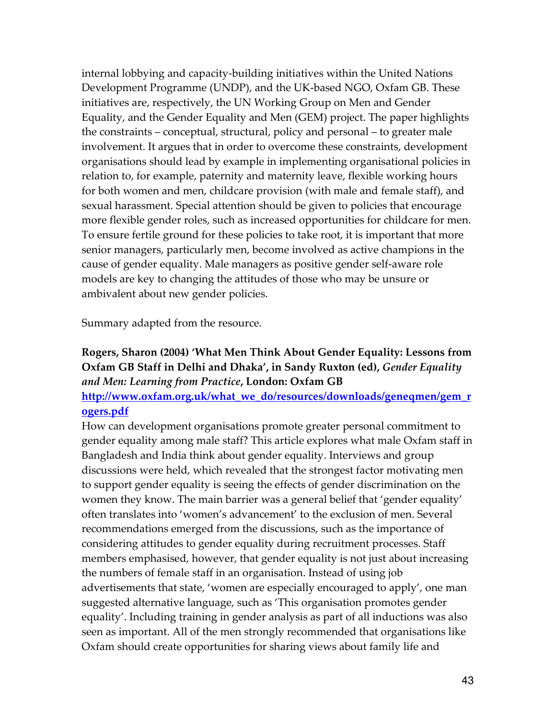internal lobbying and capacity-building initiatives within the United Nations Development Programme (UNDP), and the UK-based NGO, Oxfam GB. These initiatives are, respectively, the UN Working Group on Men and Gender Equality, and the Gender Equality and Men (GEM) project. The paper highlights the constraints – conceptual, structural, policy and personal – to greater male involvement. It argues that in order to overcome these constraints, development organisations should lead by example in implementing organisational policies in relation to, for example, paternity and maternity leave, flexible working hours for both women and men, childcare provision (with male and female staff), and sexual harassment. Special attention should be given to policies that encourage more flexible gender roles, such as increased opportunities for childcare for men. To ensure fertile ground for these policies to take root, it is important that more senior managers, particularly men, become involved as active champions in the cause of gender equality. Male managers as positive gender self-aware role models are key to changing the attitudes of those who may be unsure or ambivalent about new gender policies.

Summary adapted from the resource.

## Rogers, Sharon (2004) 'What Men Think About Gender Equality: Lessons from Oxfam GB Staff in Delhi and Dhaka', in Sandy Ruxton (ed), Gender Equality and Men: Learning from Practice, London: Oxfam GB http://www.oxfam.org.uk/what\_we\_do/resources/downloads/geneqmen/gem\_r

#### ogers.pdf

How can development organisations promote greater personal commitment to gender equality among male staff? This article explores what male Oxfam staff in Bangladesh and India think about gender equality. Interviews and group discussions were held, which revealed that the strongest factor motivating men to support gender equality is seeing the effects of gender discrimination on the women they know. The main barrier was a general belief that 'gender equality' often translates into 'women's advancement' to the exclusion of men. Several recommendations emerged from the discussions, such as the importance of considering attitudes to gender equality during recruitment processes. Staff members emphasised, however, that gender equality is not just about increasing the numbers of female staff in an organisation. Instead of using job advertisements that state, 'women are especially encouraged to apply', one man suggested alternative language, such as 'This organisation promotes gender equality'. Including training in gender analysis as part of all inductions was also seen as important. All of the men strongly recommended that organisations like Oxfam should create opportunities for sharing views about family life and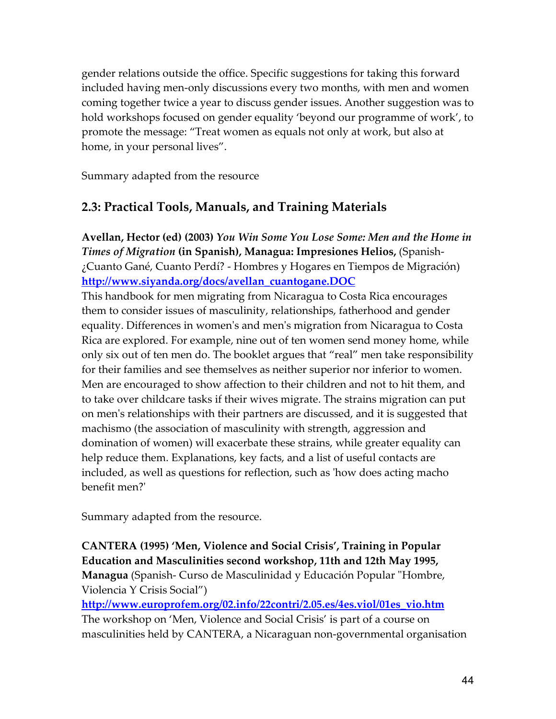gender relations outside the office. Specific suggestions for taking this forward included having men-only discussions every two months, with men and women coming together twice a year to discuss gender issues. Another suggestion was to hold workshops focused on gender equality 'beyond our programme of work', to promote the message: "Treat women as equals not only at work, but also at home, in your personal lives".

Summary adapted from the resource

## 2.3: Practical Tools, Manuals, and Training Materials

Avellan, Hector (ed) (2003) You Win Some You Lose Some: Men and the Home in Times of Migration (in Spanish), Managua: Impresiones Helios, (Spanish- ¿Cuanto Gané, Cuanto Perdí? - Hombres y Hogares en Tiempos de Migración) http://www.siyanda.org/docs/avellan\_cuantogane.DOC

This handbook for men migrating from Nicaragua to Costa Rica encourages them to consider issues of masculinity, relationships, fatherhood and gender equality. Differences in women's and men's migration from Nicaragua to Costa Rica are explored. For example, nine out of ten women send money home, while only six out of ten men do. The booklet argues that "real" men take responsibility for their families and see themselves as neither superior nor inferior to women. Men are encouraged to show affection to their children and not to hit them, and to take over childcare tasks if their wives migrate. The strains migration can put on men's relationships with their partners are discussed, and it is suggested that machismo (the association of masculinity with strength, aggression and domination of women) will exacerbate these strains, while greater equality can help reduce them. Explanations, key facts, and a list of useful contacts are included, as well as questions for reflection, such as 'how does acting macho benefit men?'

Summary adapted from the resource.

CANTERA (1995) 'Men, Violence and Social Crisis', Training in Popular Education and Masculinities second workshop, 11th and 12th May 1995, Managua (Spanish- Curso de Masculinidad y Educación Popular "Hombre, Violencia Y Crisis Social")

http://www.europrofem.org/02.info/22contri/2.05.es/4es.viol/01es\_vio.htm The workshop on 'Men, Violence and Social Crisis' is part of a course on masculinities held by CANTERA, a Nicaraguan non-governmental organisation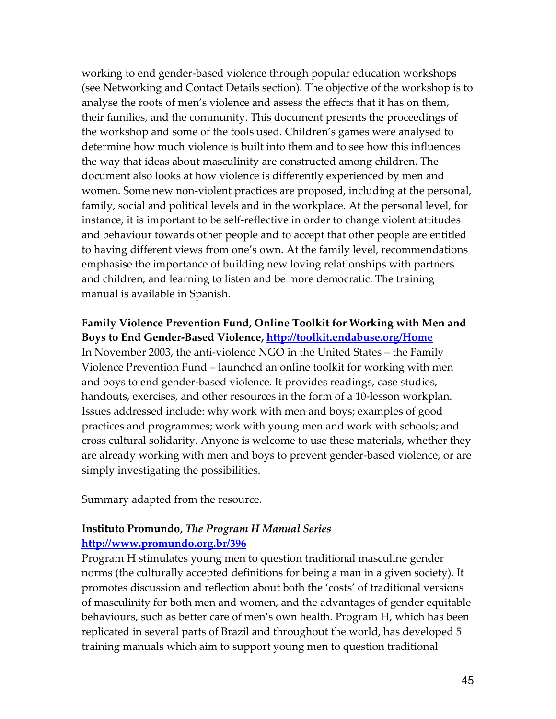working to end gender-based violence through popular education workshops (see Networking and Contact Details section). The objective of the workshop is to analyse the roots of men's violence and assess the effects that it has on them, their families, and the community. This document presents the proceedings of the workshop and some of the tools used. Children's games were analysed to determine how much violence is built into them and to see how this influences the way that ideas about masculinity are constructed among children. The document also looks at how violence is differently experienced by men and women. Some new non-violent practices are proposed, including at the personal, family, social and political levels and in the workplace. At the personal level, for instance, it is important to be self-reflective in order to change violent attitudes and behaviour towards other people and to accept that other people are entitled to having different views from one's own. At the family level, recommendations emphasise the importance of building new loving relationships with partners and children, and learning to listen and be more democratic. The training manual is available in Spanish.

Family Violence Prevention Fund, Online Toolkit for Working with Men and Boys to End Gender-Based Violence, http://toolkit.endabuse.org/Home In November 2003, the anti-violence NGO in the United States – the Family Violence Prevention Fund – launched an online toolkit for working with men and boys to end gender-based violence. It provides readings, case studies, handouts, exercises, and other resources in the form of a 10-lesson workplan. Issues addressed include: why work with men and boys; examples of good practices and programmes; work with young men and work with schools; and cross cultural solidarity. Anyone is welcome to use these materials, whether they are already working with men and boys to prevent gender-based violence, or are simply investigating the possibilities.

Summary adapted from the resource.

#### Instituto Promundo, The Program H Manual Series http://www.promundo.org.br/396

Program H stimulates young men to question traditional masculine gender norms (the culturally accepted definitions for being a man in a given society). It promotes discussion and reflection about both the 'costs' of traditional versions of masculinity for both men and women, and the advantages of gender equitable behaviours, such as better care of men's own health. Program H, which has been replicated in several parts of Brazil and throughout the world, has developed 5 training manuals which aim to support young men to question traditional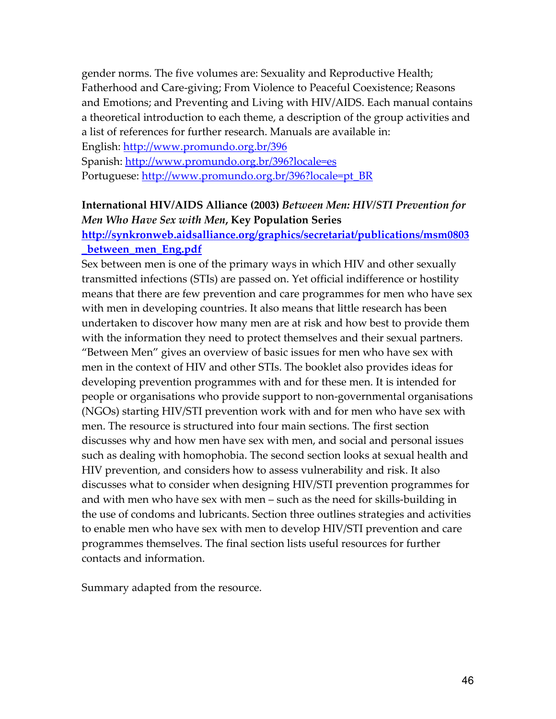gender norms. The five volumes are: Sexuality and Reproductive Health; Fatherhood and Care-giving; From Violence to Peaceful Coexistence; Reasons and Emotions; and Preventing and Living with HIV/AIDS. Each manual contains a theoretical introduction to each theme, a description of the group activities and a list of references for further research. Manuals are available in:

English: http://www.promundo.org.br/396 Spanish: http://www.promundo.org.br/396?locale=es

Portuguese: http://www.promundo.org.br/396?locale=pt\_BR

## International HIV/AIDS Alliance (2003) Between Men: HIV/STI Prevention for Men Who Have Sex with Men, Key Population Series

## http://synkronweb.aidsalliance.org/graphics/secretariat/publications/msm0803 \_between\_men\_Eng.pdf

Sex between men is one of the primary ways in which HIV and other sexually transmitted infections (STIs) are passed on. Yet official indifference or hostility means that there are few prevention and care programmes for men who have sex with men in developing countries. It also means that little research has been undertaken to discover how many men are at risk and how best to provide them with the information they need to protect themselves and their sexual partners. "Between Men" gives an overview of basic issues for men who have sex with men in the context of HIV and other STIs. The booklet also provides ideas for developing prevention programmes with and for these men. It is intended for people or organisations who provide support to non-governmental organisations (NGOs) starting HIV/STI prevention work with and for men who have sex with men. The resource is structured into four main sections. The first section discusses why and how men have sex with men, and social and personal issues such as dealing with homophobia. The second section looks at sexual health and HIV prevention, and considers how to assess vulnerability and risk. It also discusses what to consider when designing HIV/STI prevention programmes for and with men who have sex with men – such as the need for skills-building in the use of condoms and lubricants. Section three outlines strategies and activities to enable men who have sex with men to develop HIV/STI prevention and care programmes themselves. The final section lists useful resources for further contacts and information.

Summary adapted from the resource.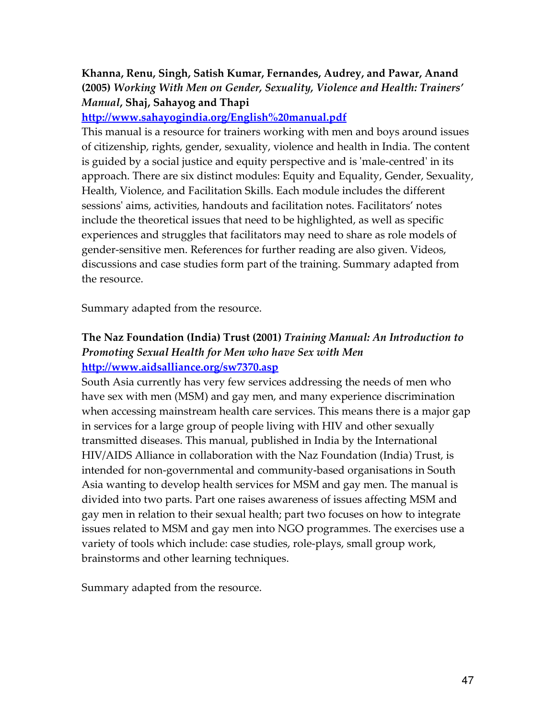## Khanna, Renu, Singh, Satish Kumar, Fernandes, Audrey, and Pawar, Anand (2005) Working With Men on Gender, Sexuality, Violence and Health: Trainers' Manual, Shaj, Sahayog and Thapi

### http://www.sahayogindia.org/English%20manual.pdf

This manual is a resource for trainers working with men and boys around issues of citizenship, rights, gender, sexuality, violence and health in India. The content is guided by a social justice and equity perspective and is 'male-centred' in its approach. There are six distinct modules: Equity and Equality, Gender, Sexuality, Health, Violence, and Facilitation Skills. Each module includes the different sessions' aims, activities, handouts and facilitation notes. Facilitators' notes include the theoretical issues that need to be highlighted, as well as specific experiences and struggles that facilitators may need to share as role models of gender-sensitive men. References for further reading are also given. Videos, discussions and case studies form part of the training. Summary adapted from the resource.

Summary adapted from the resource.

## The Naz Foundation (India) Trust (2001) Training Manual: An Introduction to Promoting Sexual Health for Men who have Sex with Men http://www.aidsalliance.org/sw7370.asp

South Asia currently has very few services addressing the needs of men who have sex with men (MSM) and gay men, and many experience discrimination when accessing mainstream health care services. This means there is a major gap in services for a large group of people living with HIV and other sexually transmitted diseases. This manual, published in India by the International HIV/AIDS Alliance in collaboration with the Naz Foundation (India) Trust, is intended for non-governmental and community-based organisations in South Asia wanting to develop health services for MSM and gay men. The manual is divided into two parts. Part one raises awareness of issues affecting MSM and gay men in relation to their sexual health; part two focuses on how to integrate issues related to MSM and gay men into NGO programmes. The exercises use a variety of tools which include: case studies, role-plays, small group work, brainstorms and other learning techniques.

Summary adapted from the resource.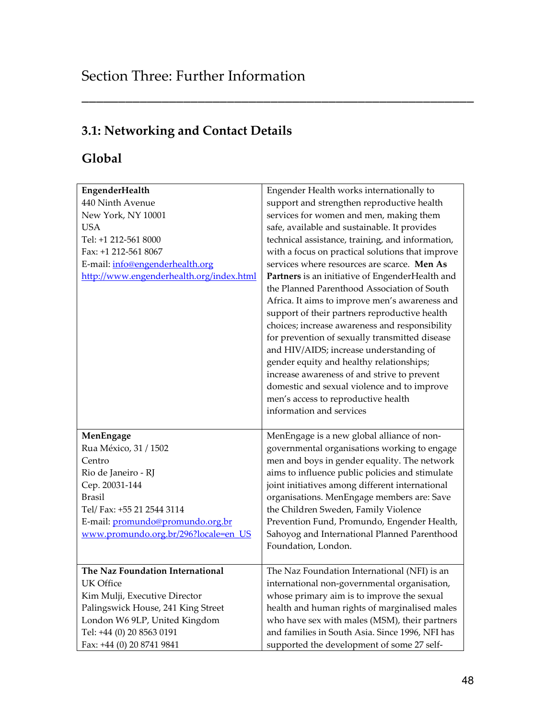# 3.1: Networking and Contact Details

## Global

| EngenderHealth                           | Engender Health works internationally to         |
|------------------------------------------|--------------------------------------------------|
| 440 Ninth Avenue                         | support and strengthen reproductive health       |
| New York, NY 10001                       | services for women and men, making them          |
| USA                                      | safe, available and sustainable. It provides     |
| Tel: +1 212-561 8000                     | technical assistance, training, and information, |
| Fax: +1 212-561 8067                     | with a focus on practical solutions that improve |
| E-mail: info@engenderhealth.org          | services where resources are scarce. Men As      |
| http://www.engenderhealth.org/index.html | Partners is an initiative of EngenderHealth and  |
|                                          | the Planned Parenthood Association of South      |
|                                          | Africa. It aims to improve men's awareness and   |
|                                          | support of their partners reproductive health    |
|                                          | choices; increase awareness and responsibility   |
|                                          | for prevention of sexually transmitted disease   |
|                                          | and HIV/AIDS; increase understanding of          |
|                                          | gender equity and healthy relationships;         |
|                                          | increase awareness of and strive to prevent      |
|                                          | domestic and sexual violence and to improve      |
|                                          | men's access to reproductive health              |
|                                          | information and services                         |
|                                          |                                                  |
| MenEngage                                | MenEngage is a new global alliance of non-       |
| Rua México, 31 / 1502                    | governmental organisations working to engage     |
| Centro                                   | men and boys in gender equality. The network     |
| Rio de Janeiro - RJ                      | aims to influence public policies and stimulate  |
| Cep. 20031-144                           | joint initiatives among different international  |
| Brasil                                   | organisations. MenEngage members are: Save       |
| Tel/Fax: +55 21 2544 3114                | the Children Sweden, Family Violence             |
| E-mail: promundo@promundo.org.br         | Prevention Fund, Promundo, Engender Health,      |
| www.promundo.org.br/296?locale=en_US     | Sahoyog and International Planned Parenthood     |
|                                          | Foundation, London.                              |
|                                          |                                                  |
| The Naz Foundation International         | The Naz Foundation International (NFI) is an     |
| UK Office                                | international non-governmental organisation,     |
| Kim Mulji, Executive Director            | whose primary aim is to improve the sexual       |
| Palingswick House, 241 King Street       | health and human rights of marginalised males    |
| London W6 9LP, United Kingdom            | who have sex with males (MSM), their partners    |
| Tel: +44 (0) 20 8563 0191                | and families in South Asia. Since 1996, NFI has  |
| Fax: +44 (0) 20 8741 9841                | supported the development of some 27 self-       |

\_\_\_\_\_\_\_\_\_\_\_\_\_\_\_\_\_\_\_\_\_\_\_\_\_\_\_\_\_\_\_\_\_\_\_\_\_\_\_\_\_\_\_\_\_\_\_\_\_\_\_\_\_\_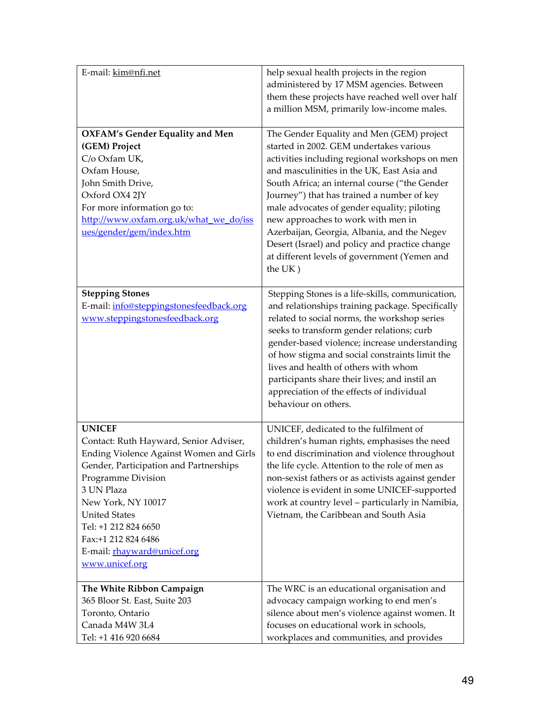| E-mail: kim@nfi.net                                                                                                                                                                                                                                                                                                            | help sexual health projects in the region<br>administered by 17 MSM agencies. Between<br>them these projects have reached well over half<br>a million MSM, primarily low-income males.                                                                                                                                                                                                                                                                                                                                               |
|--------------------------------------------------------------------------------------------------------------------------------------------------------------------------------------------------------------------------------------------------------------------------------------------------------------------------------|--------------------------------------------------------------------------------------------------------------------------------------------------------------------------------------------------------------------------------------------------------------------------------------------------------------------------------------------------------------------------------------------------------------------------------------------------------------------------------------------------------------------------------------|
| <b>OXFAM's Gender Equality and Men</b><br>(GEM) Project<br>C/o Oxfam UK,<br>Oxfam House,<br>John Smith Drive,<br>Oxford OX4 2JY<br>For more information go to:<br>http://www.oxfam.org.uk/what we do/iss<br>ues/gender/gem/index.htm                                                                                           | The Gender Equality and Men (GEM) project<br>started in 2002. GEM undertakes various<br>activities including regional workshops on men<br>and masculinities in the UK, East Asia and<br>South Africa; an internal course ("the Gender<br>Journey") that has trained a number of key<br>male advocates of gender equality; piloting<br>new approaches to work with men in<br>Azerbaijan, Georgia, Albania, and the Negev<br>Desert (Israel) and policy and practice change<br>at different levels of government (Yemen and<br>the UK) |
| <b>Stepping Stones</b><br>E-mail: info@steppingstonesfeedback.org<br>www.steppingstonesfeedback.org                                                                                                                                                                                                                            | Stepping Stones is a life-skills, communication,<br>and relationships training package. Specifically<br>related to social norms, the workshop series<br>seeks to transform gender relations; curb<br>gender-based violence; increase understanding<br>of how stigma and social constraints limit the<br>lives and health of others with whom<br>participants share their lives; and instil an<br>appreciation of the effects of individual<br>behaviour on others.                                                                   |
| <b>UNICEF</b><br>Contact: Ruth Hayward, Senior Adviser,<br>Ending Violence Against Women and Girls<br>Gender, Participation and Partnerships<br>Programme Division<br>3 UN Plaza<br>New York, NY 10017<br><b>United States</b><br>Tel: +1 212 824 6650<br>Fax:+1 212 824 6486<br>E-mail: rhayward@unicef.org<br>www.unicef.org | UNICEF, dedicated to the fulfilment of<br>children's human rights, emphasises the need<br>to end discrimination and violence throughout<br>the life cycle. Attention to the role of men as<br>non-sexist fathers or as activists against gender<br>violence is evident in some UNICEF-supported<br>work at country level - particularly in Namibia,<br>Vietnam, the Caribbean and South Asia                                                                                                                                         |
| The White Ribbon Campaign<br>365 Bloor St. East, Suite 203<br>Toronto, Ontario<br>Canada M4W 3L4<br>Tel: +1 416 920 6684                                                                                                                                                                                                       | The WRC is an educational organisation and<br>advocacy campaign working to end men's<br>silence about men's violence against women. It<br>focuses on educational work in schools,<br>workplaces and communities, and provides                                                                                                                                                                                                                                                                                                        |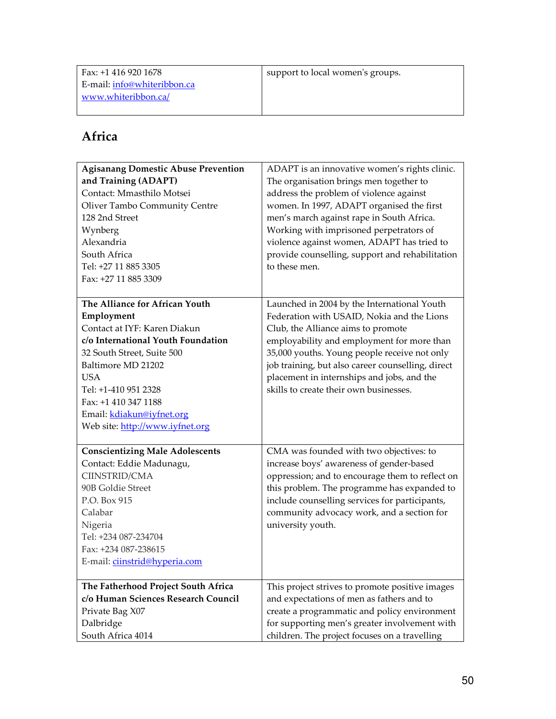| Fax: +1 416 920 1678        | support to local women's groups. |
|-----------------------------|----------------------------------|
| E-mail: info@whiteribbon.ca |                                  |
| www.whiteribbon.ca/         |                                  |

## Africa

| <b>Agisanang Domestic Abuse Prevention</b><br>and Training (ADAPT)<br>Contact: Mmasthilo Motsei<br>Oliver Tambo Community Centre<br>128 2nd Street<br>Wynberg<br>Alexandria<br>South Africa<br>Tel: +27 11 885 3305<br>Fax: +27 11 885 3309                                                          | ADAPT is an innovative women's rights clinic.<br>The organisation brings men together to<br>address the problem of violence against<br>women. In 1997, ADAPT organised the first<br>men's march against rape in South Africa.<br>Working with imprisoned perpetrators of<br>violence against women, ADAPT has tried to<br>provide counselling, support and rehabilitation<br>to these men. |
|------------------------------------------------------------------------------------------------------------------------------------------------------------------------------------------------------------------------------------------------------------------------------------------------------|--------------------------------------------------------------------------------------------------------------------------------------------------------------------------------------------------------------------------------------------------------------------------------------------------------------------------------------------------------------------------------------------|
| The Alliance for African Youth<br>Employment<br>Contact at IYF: Karen Diakun<br>c/o International Youth Foundation<br>32 South Street, Suite 500<br>Baltimore MD 21202<br><b>USA</b><br>Tel: +1-410 951 2328<br>Fax: +1 410 347 1188<br>Email: kdiakun@iyfnet.org<br>Web site: http://www.iyfnet.org | Launched in 2004 by the International Youth<br>Federation with USAID, Nokia and the Lions<br>Club, the Alliance aims to promote<br>employability and employment for more than<br>35,000 youths. Young people receive not only<br>job training, but also career counselling, direct<br>placement in internships and jobs, and the<br>skills to create their own businesses.                 |
| <b>Conscientizing Male Adolescents</b><br>Contact: Eddie Madunagu,<br>CIINSTRID/CMA<br>90B Goldie Street<br>P.O. Box 915<br>Calabar<br>Nigeria<br>Tel: +234 087-234704<br>Fax: +234 087-238615<br>E-mail: ciinstrid@hyperia.com                                                                      | CMA was founded with two objectives: to<br>increase boys' awareness of gender-based<br>oppression; and to encourage them to reflect on<br>this problem. The programme has expanded to<br>include counselling services for participants,<br>community advocacy work, and a section for<br>university youth.                                                                                 |
| The Fatherhood Project South Africa<br>c/o Human Sciences Research Council<br>Private Bag X07<br>Dalbridge<br>South Africa 4014                                                                                                                                                                      | This project strives to promote positive images<br>and expectations of men as fathers and to<br>create a programmatic and policy environment<br>for supporting men's greater involvement with<br>children. The project focuses on a travelling                                                                                                                                             |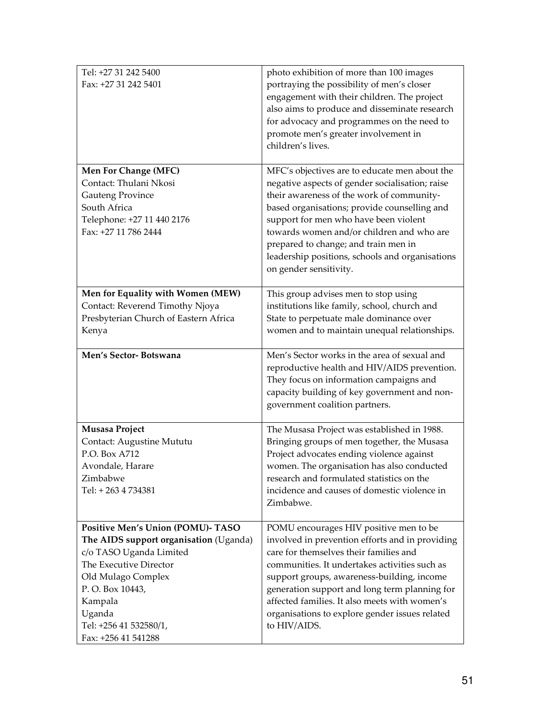| Tel: +27 31 242 5400<br>Fax: +27 31 242 5401                                                                                                                                                                                                           | photo exhibition of more than 100 images<br>portraying the possibility of men's closer<br>engagement with their children. The project<br>also aims to produce and disseminate research<br>for advocacy and programmes on the need to<br>promote men's greater involvement in<br>children's lives.                                                                                                        |
|--------------------------------------------------------------------------------------------------------------------------------------------------------------------------------------------------------------------------------------------------------|----------------------------------------------------------------------------------------------------------------------------------------------------------------------------------------------------------------------------------------------------------------------------------------------------------------------------------------------------------------------------------------------------------|
| <b>Men For Change (MFC)</b><br>Contact: Thulani Nkosi<br><b>Gauteng Province</b><br>South Africa<br>Telephone: +27 11 440 2176<br>Fax: +27 11 786 2444                                                                                                 | MFC's objectives are to educate men about the<br>negative aspects of gender socialisation; raise<br>their awareness of the work of community-<br>based organisations; provide counselling and<br>support for men who have been violent<br>towards women and/or children and who are<br>prepared to change; and train men in<br>leadership positions, schools and organisations<br>on gender sensitivity. |
| Men for Equality with Women (MEW)<br>Contact: Reverend Timothy Njoya<br>Presbyterian Church of Eastern Africa<br>Kenya                                                                                                                                 | This group advises men to stop using<br>institutions like family, school, church and<br>State to perpetuate male dominance over<br>women and to maintain unequal relationships.                                                                                                                                                                                                                          |
| Men's Sector-Botswana                                                                                                                                                                                                                                  | Men's Sector works in the area of sexual and<br>reproductive health and HIV/AIDS prevention.<br>They focus on information campaigns and<br>capacity building of key government and non-<br>government coalition partners.                                                                                                                                                                                |
| Musasa Project<br>Contact: Augustine Mututu<br>P.O. Box A712<br>Avondale, Harare<br>Zimbabwe<br>Tel: +263 4 734381                                                                                                                                     | The Musasa Project was established in 1988.<br>Bringing groups of men together, the Musasa<br>Project advocates ending violence against<br>women. The organisation has also conducted<br>research and formulated statistics on the<br>incidence and causes of domestic violence in<br>Zimbabwe.                                                                                                          |
| <b>Positive Men's Union (POMU)- TASO</b><br>The AIDS support organisation (Uganda)<br>c/o TASO Uganda Limited<br>The Executive Director<br>Old Mulago Complex<br>P.O. Box 10443,<br>Kampala<br>Uganda<br>Tel: +256 41 532580/1,<br>Fax: +256 41 541288 | POMU encourages HIV positive men to be<br>involved in prevention efforts and in providing<br>care for themselves their families and<br>communities. It undertakes activities such as<br>support groups, awareness-building, income<br>generation support and long term planning for<br>affected families. It also meets with women's<br>organisations to explore gender issues related<br>to HIV/AIDS.   |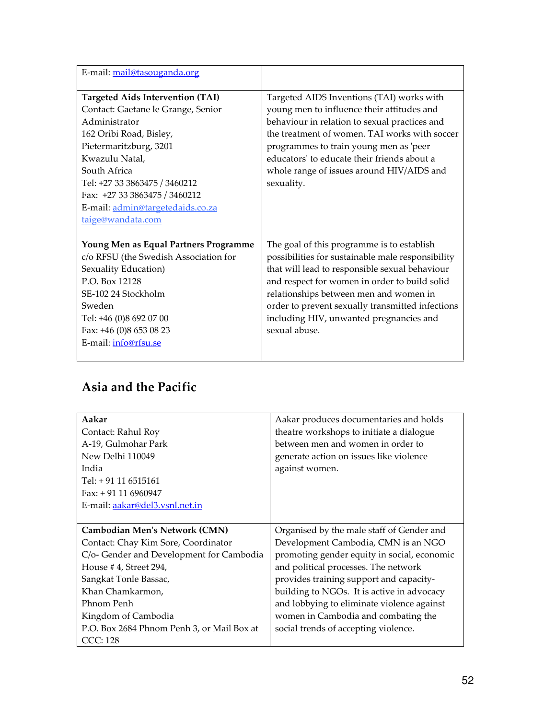| E-mail: mail@tasouganda.org                                                                                                                                                                                                                                                                                      |                                                                                                                                                                                                                                                                                                                                                              |
|------------------------------------------------------------------------------------------------------------------------------------------------------------------------------------------------------------------------------------------------------------------------------------------------------------------|--------------------------------------------------------------------------------------------------------------------------------------------------------------------------------------------------------------------------------------------------------------------------------------------------------------------------------------------------------------|
| <b>Targeted Aids Intervention (TAI)</b><br>Contact: Gaetane le Grange, Senior<br>Administrator<br>162 Oribi Road, Bisley,<br>Pietermaritzburg, 3201<br>Kwazulu Natal,<br>South Africa<br>Tel: +27 33 3863475 / 3460212<br>Fax: +27 33 3863475 / 3460212<br>E-mail: admin@targetedaids.co.za<br>taige@wandata.com | Targeted AIDS Inventions (TAI) works with<br>young men to influence their attitudes and<br>behaviour in relation to sexual practices and<br>the treatment of women. TAI works with soccer<br>programmes to train young men as 'peer<br>educators' to educate their friends about a<br>whole range of issues around HIV/AIDS and<br>sexuality.                |
| Young Men as Equal Partners Programme<br>c/o RFSU (the Swedish Association for<br>Sexuality Education)<br>P.O. Box 12128<br>SE-102 24 Stockholm<br>Sweden<br>Tel: +46 (0)8 692 07 00<br>Fax: +46 (0)8 653 08 23<br>E-mail: info@rfsu.se                                                                          | The goal of this programme is to establish<br>possibilities for sustainable male responsibility<br>that will lead to responsible sexual behaviour<br>and respect for women in order to build solid<br>relationships between men and women in<br>order to prevent sexually transmitted infections<br>including HIV, unwanted pregnancies and<br>sexual abuse. |

## Asia and the Pacific

| Aakar                                      | Aakar produces documentaries and holds      |
|--------------------------------------------|---------------------------------------------|
| Contact: Rahul Roy                         | theatre workshops to initiate a dialogue    |
| A-19, Gulmohar Park                        | between men and women in order to           |
| New Delhi 110049                           | generate action on issues like violence     |
| India                                      | against women.                              |
| Tel: + 91 11 6515161                       |                                             |
| Fax: $+91$ 11 6960947                      |                                             |
| E-mail: aakar@del3.vsnl.net.in             |                                             |
|                                            |                                             |
| Cambodian Men's Network (CMN)              | Organised by the male staff of Gender and   |
| Contact: Chay Kim Sore, Coordinator        | Development Cambodia, CMN is an NGO         |
| C/o- Gender and Development for Cambodia   | promoting gender equity in social, economic |
| House #4, Street 294,                      | and political processes. The network        |
| Sangkat Tonle Bassac,                      | provides training support and capacity-     |
| Khan Chamkarmon,                           | building to NGOs. It is active in advocacy  |
| Phnom Penh                                 | and lobbying to eliminate violence against  |
| Kingdom of Cambodia                        | women in Cambodia and combating the         |
| P.O. Box 2684 Phnom Penh 3, or Mail Box at | social trends of accepting violence.        |
| CCC: 128                                   |                                             |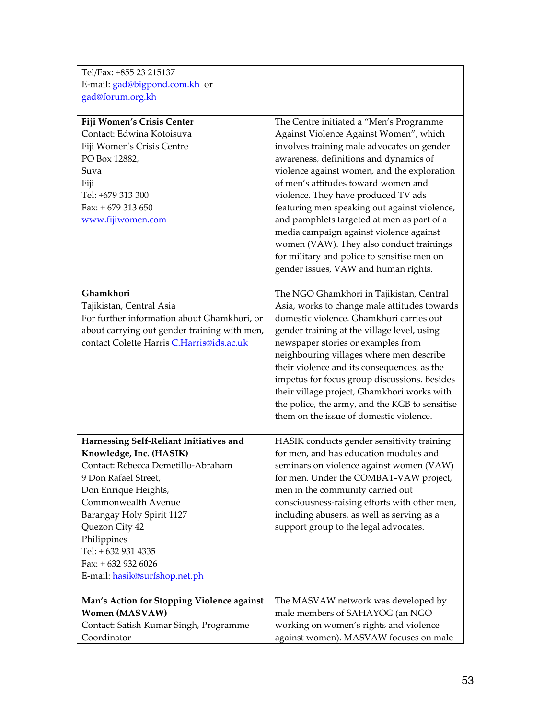| Tel/Fax: +855 23 215137                                                                                                                                                                                                                                                                                                      |                                                                                                                                                                                                                                                                                                                                                                                                                                                                                                                                                                                    |
|------------------------------------------------------------------------------------------------------------------------------------------------------------------------------------------------------------------------------------------------------------------------------------------------------------------------------|------------------------------------------------------------------------------------------------------------------------------------------------------------------------------------------------------------------------------------------------------------------------------------------------------------------------------------------------------------------------------------------------------------------------------------------------------------------------------------------------------------------------------------------------------------------------------------|
| E-mail: gad@bigpond.com.kh or                                                                                                                                                                                                                                                                                                |                                                                                                                                                                                                                                                                                                                                                                                                                                                                                                                                                                                    |
| gad@forum.org.kh                                                                                                                                                                                                                                                                                                             |                                                                                                                                                                                                                                                                                                                                                                                                                                                                                                                                                                                    |
| Fiji Women's Crisis Center<br>Contact: Edwina Kotoisuva<br>Fiji Women's Crisis Centre<br>PO Box 12882,<br>Suva<br>Fiji<br>Tel: +679 313 300<br>Fax: $+679313650$<br>www.fijiwomen.com                                                                                                                                        | The Centre initiated a "Men's Programme<br>Against Violence Against Women", which<br>involves training male advocates on gender<br>awareness, definitions and dynamics of<br>violence against women, and the exploration<br>of men's attitudes toward women and<br>violence. They have produced TV ads<br>featuring men speaking out against violence,<br>and pamphlets targeted at men as part of a<br>media campaign against violence against<br>women (VAW). They also conduct trainings<br>for military and police to sensitise men on<br>gender issues, VAW and human rights. |
| Ghamkhori<br>Tajikistan, Central Asia<br>For further information about Ghamkhori, or<br>about carrying out gender training with men,<br>contact Colette Harris C.Harris@ids.ac.uk                                                                                                                                            | The NGO Ghamkhori in Tajikistan, Central<br>Asia, works to change male attitudes towards<br>domestic violence. Ghamkhori carries out<br>gender training at the village level, using<br>newspaper stories or examples from<br>neighbouring villages where men describe<br>their violence and its consequences, as the<br>impetus for focus group discussions. Besides<br>their village project, Ghamkhori works with<br>the police, the army, and the KGB to sensitise<br>them on the issue of domestic violence.                                                                   |
| Harnessing Self-Reliant Initiatives and<br>Knowledge, Inc. (HASIK)<br>Contact: Rebecca Demetillo-Abraham<br>9 Don Rafael Street,<br>Don Enrique Heights,<br>Commonwealth Avenue<br>Barangay Holy Spirit 1127<br>Quezon City 42<br>Philippines<br>Tel: + 632 931 4335<br>Fax: + 632 932 6026<br>E-mail: hasik@surfshop.net.ph | HASIK conducts gender sensitivity training<br>for men, and has education modules and<br>seminars on violence against women (VAW)<br>for men. Under the COMBAT-VAW project,<br>men in the community carried out<br>consciousness-raising efforts with other men,<br>including abusers, as well as serving as a<br>support group to the legal advocates.                                                                                                                                                                                                                             |
| Man's Action for Stopping Violence against<br><b>Women (MASVAW)</b><br>Contact: Satish Kumar Singh, Programme<br>Coordinator                                                                                                                                                                                                 | The MASVAW network was developed by<br>male members of SAHAYOG (an NGO<br>working on women's rights and violence<br>against women). MASVAW focuses on male                                                                                                                                                                                                                                                                                                                                                                                                                         |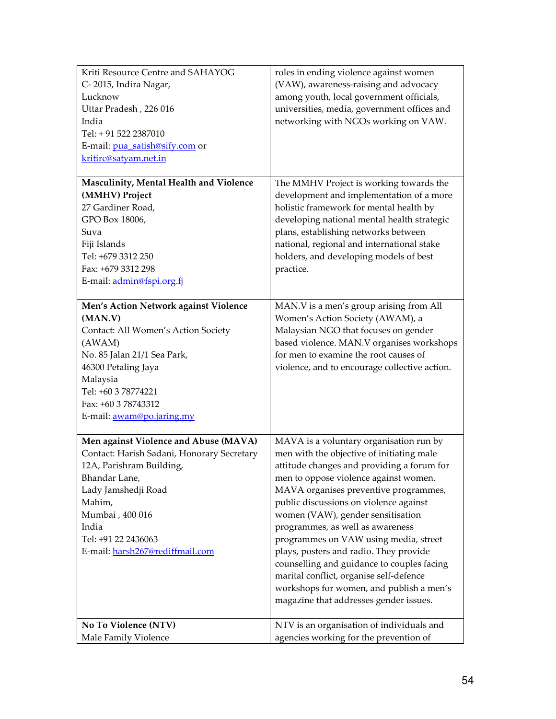| Kriti Resource Centre and SAHAYOG<br>C-2015, Indira Nagar,<br>Lucknow<br>Uttar Pradesh, 226 016<br>India<br>Tel: + 91 522 2387010<br>E-mail: pua_satish@sify.com or<br>kritirc@satyam.net.in                                                            | roles in ending violence against women<br>(VAW), awareness-raising and advocacy<br>among youth, local government officials,<br>universities, media, government offices and<br>networking with NGOs working on VAW.                                                                                                                                                                                                                                                                                                                                                                                        |
|---------------------------------------------------------------------------------------------------------------------------------------------------------------------------------------------------------------------------------------------------------|-----------------------------------------------------------------------------------------------------------------------------------------------------------------------------------------------------------------------------------------------------------------------------------------------------------------------------------------------------------------------------------------------------------------------------------------------------------------------------------------------------------------------------------------------------------------------------------------------------------|
| Masculinity, Mental Health and Violence<br>(MMHV) Project<br>27 Gardiner Road,<br>GPO Box 18006,<br>Suva<br>Fiji Islands<br>Tel: +679 3312 250<br>Fax: +679 3312 298<br>E-mail: admin@fspi.org.fj                                                       | The MMHV Project is working towards the<br>development and implementation of a more<br>holistic framework for mental health by<br>developing national mental health strategic<br>plans, establishing networks between<br>national, regional and international stake<br>holders, and developing models of best<br>practice.                                                                                                                                                                                                                                                                                |
| Men's Action Network against Violence<br>(MAN.V)<br>Contact: All Women's Action Society<br>(AWAM)<br>No. 85 Jalan 21/1 Sea Park,<br>46300 Petaling Jaya<br>Malaysia<br>Tel: +60 3 78774221<br>Fax: +60 3 78743312<br>E-mail: awam@po.jaring.my          | MAN.V is a men's group arising from All<br>Women's Action Society (AWAM), a<br>Malaysian NGO that focuses on gender<br>based violence. MAN.V organises workshops<br>for men to examine the root causes of<br>violence, and to encourage collective action.                                                                                                                                                                                                                                                                                                                                                |
| Men against Violence and Abuse (MAVA)<br>Contact: Harish Sadani, Honorary Secretary<br>12A, Parishram Building,<br>Bhandar Lane,<br>Lady Jamshedji Road<br>Mahim,<br>Mumbai, 400 016<br>India<br>Tel: +91 22 2436063<br>E-mail: harsh267@rediffmail.com | MAVA is a voluntary organisation run by<br>men with the objective of initiating male<br>attitude changes and providing a forum for<br>men to oppose violence against women.<br>MAVA organises preventive programmes,<br>public discussions on violence against<br>women (VAW), gender sensitisation<br>programmes, as well as awareness<br>programmes on VAW using media, street<br>plays, posters and radio. They provide<br>counselling and guidance to couples facing<br>marital conflict, organise self-defence<br>workshops for women, and publish a men's<br>magazine that addresses gender issues. |
| No To Violence (NTV)<br>Male Family Violence                                                                                                                                                                                                            | NTV is an organisation of individuals and<br>agencies working for the prevention of                                                                                                                                                                                                                                                                                                                                                                                                                                                                                                                       |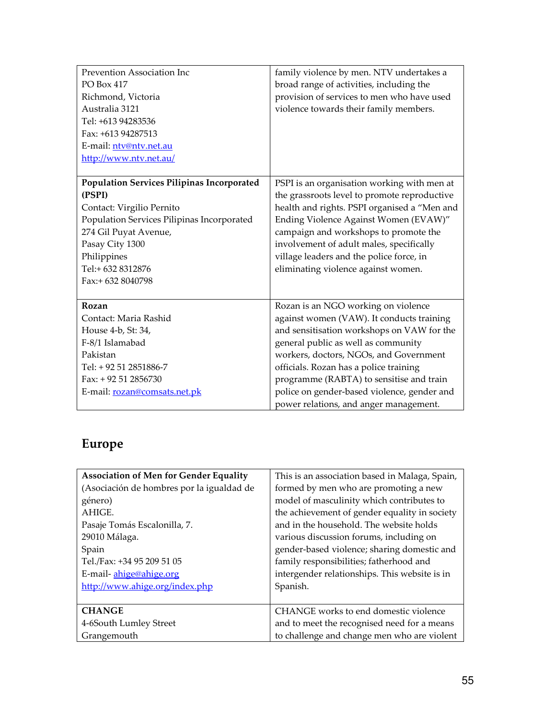| Prevention Association Inc                        | family violence by men. NTV undertakes a     |
|---------------------------------------------------|----------------------------------------------|
| <b>PO Box 417</b>                                 | broad range of activities, including the     |
| Richmond, Victoria                                | provision of services to men who have used   |
| Australia 3121                                    | violence towards their family members.       |
| Tel: +613 94283536                                |                                              |
| Fax: +613 94287513                                |                                              |
| E-mail: ntv@ntv.net.au                            |                                              |
| http://www.ntv.net.au/                            |                                              |
|                                                   |                                              |
| <b>Population Services Pilipinas Incorporated</b> | PSPI is an organisation working with men at  |
| (PSPI)                                            | the grassroots level to promote reproductive |
| Contact: Virgilio Pernito                         | health and rights. PSPI organised a "Men and |
| Population Services Pilipinas Incorporated        | Ending Violence Against Women (EVAW)"        |
| 274 Gil Puyat Avenue,                             | campaign and workshops to promote the        |
| Pasay City 1300                                   | involvement of adult males, specifically     |
| Philippines                                       | village leaders and the police force, in     |
| Tel:+632 8312876                                  | eliminating violence against women.          |
| Fax:+ 632 8040798                                 |                                              |
|                                                   |                                              |
| Rozan                                             | Rozan is an NGO working on violence          |
| Contact: Maria Rashid                             | against women (VAW). It conducts training    |
| House 4-b, St: 34,                                | and sensitisation workshops on VAW for the   |
| F-8/1 Islamabad                                   | general public as well as community          |
| Pakistan                                          | workers, doctors, NGOs, and Government       |
| Tel: + 92 51 2851886-7                            | officials. Rozan has a police training       |
| Fax: + 92 51 2856730                              | programme (RABTA) to sensitise and train     |
| E-mail: rozan@comsats.net.pk                      | police on gender-based violence, gender and  |
|                                                   | power relations, and anger management.       |

# Europe

| <b>Association of Men for Gender Equality</b> | This is an association based in Malaga, Spain, |
|-----------------------------------------------|------------------------------------------------|
| (Asociación de hombres por la igualdad de     | formed by men who are promoting a new          |
| género)                                       | model of masculinity which contributes to      |
| AHIGE.                                        | the achievement of gender equality in society  |
| Pasaje Tomás Escalonilla, 7.                  | and in the household. The website holds        |
| 29010 Málaga.                                 | various discussion forums, including on        |
| Spain                                         | gender-based violence; sharing domestic and    |
| Tel./Fax: +34 95 209 51 05                    | family responsibilities; fatherhood and        |
| E-mail-ahige@ahige.org                        | intergender relationships. This website is in  |
| http://www.ahige.org/index.php                | Spanish.                                       |
|                                               |                                                |
| <b>CHANGE</b>                                 | CHANGE works to end domestic violence          |
| 4-6South Lumley Street                        | and to meet the recognised need for a means    |
| Grangemouth                                   | to challenge and change men who are violent    |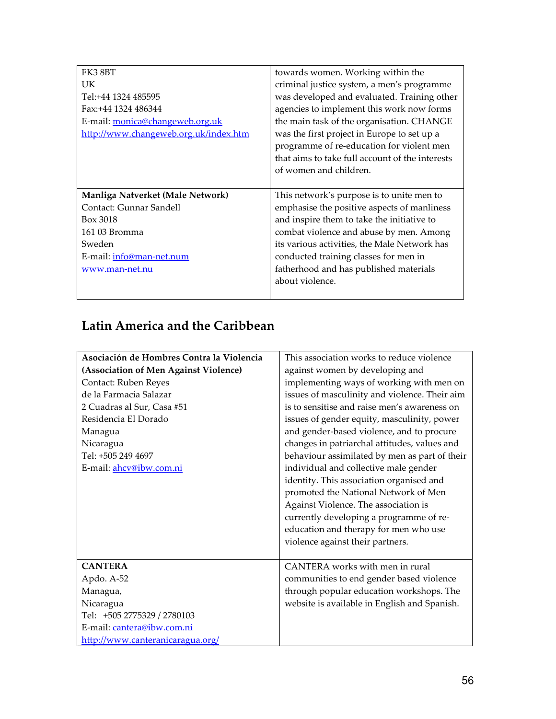| FK3 8BT                               | towards women. Working within the               |
|---------------------------------------|-------------------------------------------------|
| UK.                                   | criminal justice system, a men's programme      |
| Tel:+44 1324 485595                   | was developed and evaluated. Training other     |
| Fax:+44 1324 486344                   | agencies to implement this work now forms       |
| E-mail: monica@changeweb.org.uk       | the main task of the organisation. CHANGE       |
| http://www.changeweb.org.uk/index.htm | was the first project in Europe to set up a     |
|                                       | programme of re-education for violent men       |
|                                       | that aims to take full account of the interests |
|                                       | of women and children.                          |
|                                       |                                                 |
| Manliga Natverket (Male Network)      | This network's purpose is to unite men to       |
| Contact: Gunnar Sandell               | emphasise the positive aspects of manliness     |
| Box 3018                              | and inspire them to take the initiative to      |
| 161 03 Bromma                         | combat violence and abuse by men. Among         |
| Sweden                                | its various activities, the Male Network has    |
| E-mail: info@man-net.num              | conducted training classes for men in           |
|                                       |                                                 |
| www.man-net.nu                        | fatherhood and has published materials          |
|                                       | about violence.                                 |

## Latin America and the Caribbean

| Asociación de Hombres Contra la Violencia | This association works to reduce violence     |
|-------------------------------------------|-----------------------------------------------|
| (Association of Men Against Violence)     | against women by developing and               |
| Contact: Ruben Reyes                      | implementing ways of working with men on      |
| de la Farmacia Salazar                    | issues of masculinity and violence. Their aim |
| 2 Cuadras al Sur, Casa #51                | is to sensitise and raise men's awareness on  |
| Residencia El Dorado                      | issues of gender equity, masculinity, power   |
| Managua                                   | and gender-based violence, and to procure     |
| Nicaragua                                 | changes in patriarchal attitudes, values and  |
| Tel: +505 249 4697                        | behaviour assimilated by men as part of their |
| E-mail: ahcv@ibw.com.ni                   | individual and collective male gender         |
|                                           | identity. This association organised and      |
|                                           | promoted the National Network of Men          |
|                                           | Against Violence. The association is          |
|                                           | currently developing a programme of re-       |
|                                           | education and therapy for men who use         |
|                                           | violence against their partners.              |
|                                           |                                               |
| <b>CANTERA</b>                            | CANTERA works with men in rural               |
| Apdo. A-52                                | communities to end gender based violence      |
| Managua,                                  | through popular education workshops. The      |
| Nicaragua                                 | website is available in English and Spanish.  |
| Tel: +505 2775329 / 2780103               |                                               |
| E-mail: cantera@ibw.com.ni                |                                               |
| http://www.canteranicaragua.org/          |                                               |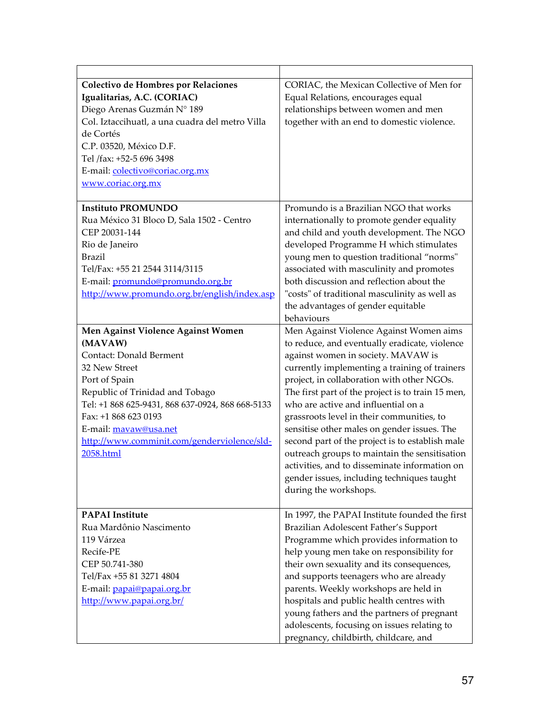| Colectivo de Hombres por Relaciones<br>Igualitarias, A.C. (CORIAC)<br>Diego Arenas Guzmán Nº 189<br>Col. Iztaccihuatl, a una cuadra del metro Villa<br>de Cortés<br>C.P. 03520, México D.F.<br>Tel /fax: +52-5 696 3498<br>E-mail: colectivo@coriac.org.mx<br>www.coriac.org.mx                                       | CORIAC, the Mexican Collective of Men for<br>Equal Relations, encourages equal<br>relationships between women and men<br>together with an end to domestic violence.                                                                                                                                                                                                                                                                                                                                                                                                                                                                               |
|-----------------------------------------------------------------------------------------------------------------------------------------------------------------------------------------------------------------------------------------------------------------------------------------------------------------------|---------------------------------------------------------------------------------------------------------------------------------------------------------------------------------------------------------------------------------------------------------------------------------------------------------------------------------------------------------------------------------------------------------------------------------------------------------------------------------------------------------------------------------------------------------------------------------------------------------------------------------------------------|
| <b>Instituto PROMUNDO</b><br>Rua México 31 Bloco D, Sala 1502 - Centro<br>CEP 20031-144<br>Rio de Janeiro<br><b>Brazil</b><br>Tel/Fax: +55 21 2544 3114/3115<br>E-mail: promundo@promundo.org.br<br>http://www.promundo.org.br/english/index.asp                                                                      | Promundo is a Brazilian NGO that works<br>internationally to promote gender equality<br>and child and youth development. The NGO<br>developed Programme H which stimulates<br>young men to question traditional "norms"<br>associated with masculinity and promotes<br>both discussion and reflection about the<br>"costs" of traditional masculinity as well as<br>the advantages of gender equitable<br>behaviours                                                                                                                                                                                                                              |
| Men Against Violence Against Women<br>(MAVAW)<br><b>Contact: Donald Berment</b><br>32 New Street<br>Port of Spain<br>Republic of Trinidad and Tobago<br>Tel: +1 868 625-9431, 868 637-0924, 868 668-5133<br>Fax: +1 868 623 0193<br>E-mail: mavaw@usa.net<br>http://www.comminit.com/genderviolence/sld-<br>2058.html | Men Against Violence Against Women aims<br>to reduce, and eventually eradicate, violence<br>against women in society. MAVAW is<br>currently implementing a training of trainers<br>project, in collaboration with other NGOs.<br>The first part of the project is to train 15 men,<br>who are active and influential on a<br>grassroots level in their communities, to<br>sensitise other males on gender issues. The<br>second part of the project is to establish male<br>outreach groups to maintain the sensitisation<br>activities, and to disseminate information on<br>gender issues, including techniques taught<br>during the workshops. |
| <b>PAPAI</b> Institute<br>Rua Mardônio Nascimento<br>119 Várzea<br>Recife-PE<br>CEP 50.741-380<br>Tel/Fax +55 81 3271 4804<br>E-mail: papai@papai.org.br<br>http://www.papai.org.br/                                                                                                                                  | In 1997, the PAPAI Institute founded the first<br>Brazilian Adolescent Father's Support<br>Programme which provides information to<br>help young men take on responsibility for<br>their own sexuality and its consequences,<br>and supports teenagers who are already<br>parents. Weekly workshops are held in<br>hospitals and public health centres with<br>young fathers and the partners of pregnant<br>adolescents, focusing on issues relating to<br>pregnancy, childbirth, childcare, and                                                                                                                                                 |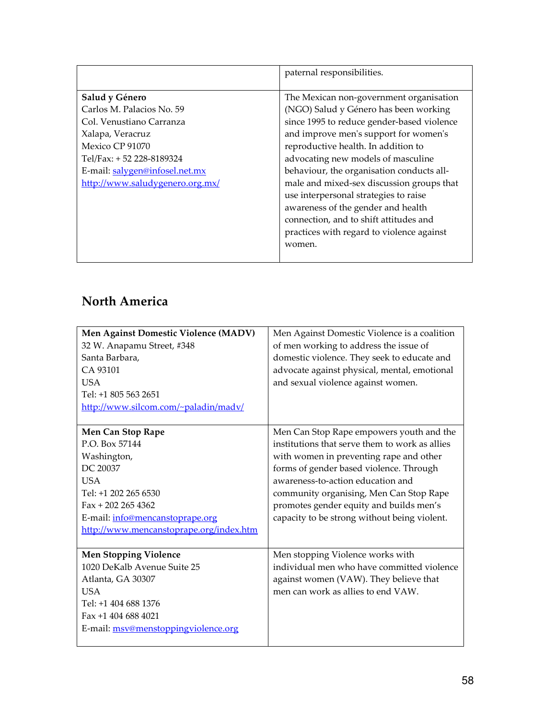|                                 | paternal responsibilities.                 |
|---------------------------------|--------------------------------------------|
|                                 |                                            |
| Salud y Género                  | The Mexican non-government organisation    |
| Carlos M. Palacios No. 59       | (NGO) Salud y Género has been working      |
| Col. Venustiano Carranza        | since 1995 to reduce gender-based violence |
| Xalapa, Veracruz                | and improve men's support for women's      |
| Mexico CP 91070                 | reproductive health. In addition to        |
| Tel/Fax: +52 228-8189324        | advocating new models of masculine         |
| E-mail: salygen@infosel.net.mx  | behaviour, the organisation conducts all-  |
| http://www.saludygenero.org.mx/ | male and mixed-sex discussion groups that  |
|                                 | use interpersonal strategies to raise      |
|                                 | awareness of the gender and health         |
|                                 | connection, and to shift attitudes and     |
|                                 | practices with regard to violence against  |
|                                 | women.                                     |
|                                 |                                            |

## North America

| Men Against Domestic Violence (MADV)    | Men Against Domestic Violence is a coalition   |
|-----------------------------------------|------------------------------------------------|
| 32 W. Anapamu Street, #348              | of men working to address the issue of         |
| Santa Barbara,                          | domestic violence. They seek to educate and    |
| CA 93101                                | advocate against physical, mental, emotional   |
| <b>USA</b>                              | and sexual violence against women.             |
| Tel: +1 805 563 2651                    |                                                |
| http://www.silcom.com/~paladin/madv/    |                                                |
|                                         |                                                |
| Men Can Stop Rape                       | Men Can Stop Rape empowers youth and the       |
| P.O. Box 57144                          | institutions that serve them to work as allies |
| Washington,                             | with women in preventing rape and other        |
| DC 20037                                | forms of gender based violence. Through        |
| <b>USA</b>                              | awareness-to-action education and              |
| Tel: +1 202 265 6530                    | community organising, Men Can Stop Rape        |
| $Fax + 2022654362$                      | promotes gender equity and builds men's        |
| E-mail: info@mencanstoprape.org         | capacity to be strong without being violent.   |
| http://www.mencanstoprape.org/index.htm |                                                |
|                                         |                                                |
| <b>Men Stopping Violence</b>            | Men stopping Violence works with               |
| 1020 DeKalb Avenue Suite 25             | individual men who have committed violence     |
| Atlanta, GA 30307                       | against women (VAW). They believe that         |
| <b>USA</b>                              | men can work as allies to end VAW.             |
| Tel: +1 404 688 1376                    |                                                |
| Fax $+1$ 404 688 4021                   |                                                |
| E-mail: msv@menstoppingviolence.org     |                                                |
|                                         |                                                |